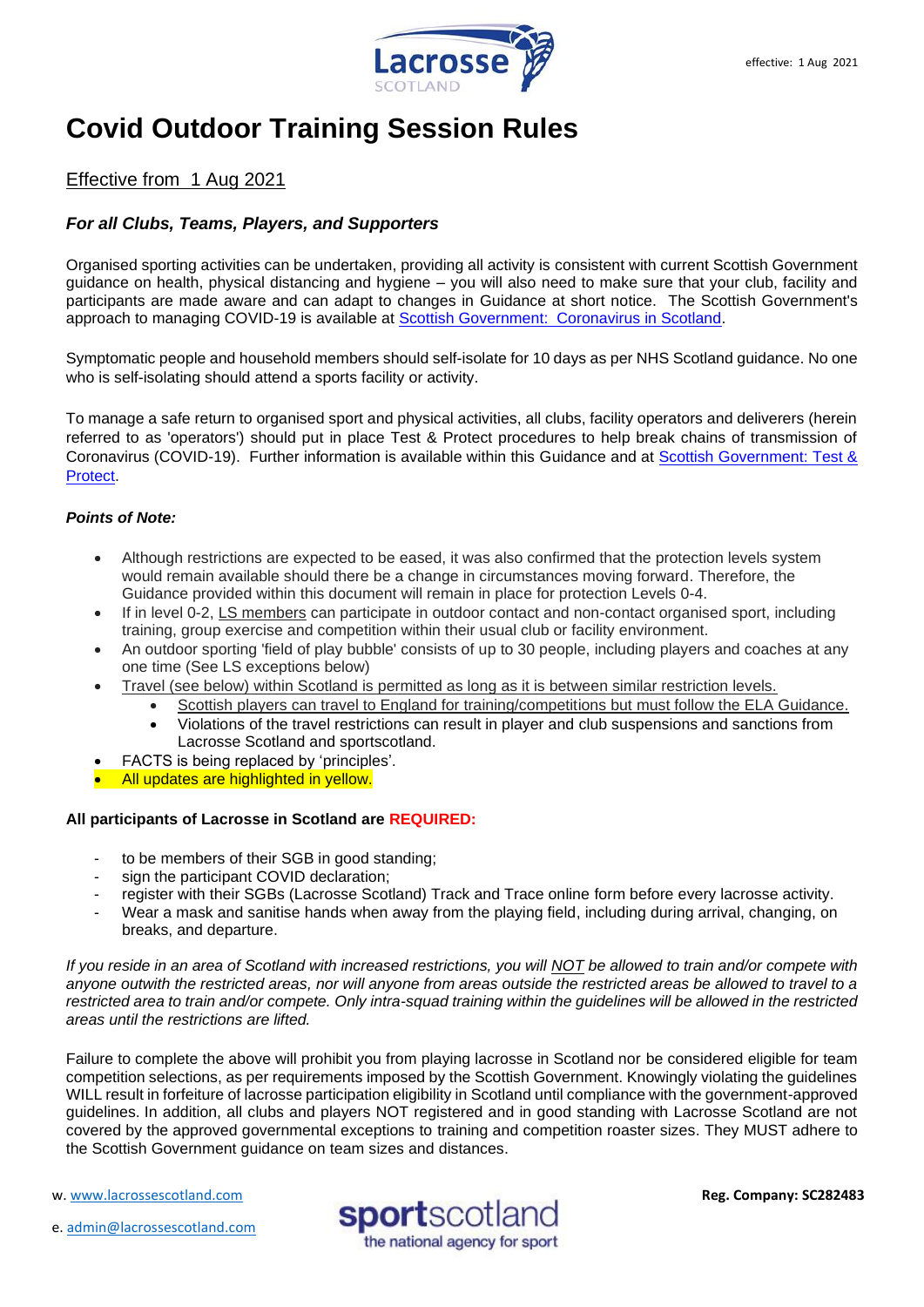

# **Covid Outdoor Training Session Rules**

# Effective from 1 Aug 2021

# *For all Clubs, Teams, Players, and Supporters*

Organised sporting activities can be undertaken, providing all activity is consistent with current Scottish Government guidance on health, physical distancing and hygiene – you will also need to make sure that your club, facility and participants are made aware and can adapt to changes in Guidance at short notice. The Scottish Government's approach to managing COVID-19 is available at [Scottish Government: Coronavirus in Scotland.](http://www.gov.scot/coronavirus-covid-19/)

Symptomatic people and household members should self-isolate for 10 days as per NHS Scotland guidance. No one who is self-isolating should attend a sports facility or activity.

To manage a safe return to organised sport and physical activities, all clubs, facility operators and deliverers (herein referred to as 'operators') should put in place Test & Protect procedures to help break chains of transmission of Coronavirus (COVID-19). Further information is available within this Guidance and at [Scottish Government: Test &](http://www.gov.scot/publications/coronavirus-covid-19-test-and-protect/)  [Protect.](http://www.gov.scot/publications/coronavirus-covid-19-test-and-protect/)

# *Points of Note:*

- Although restrictions are expected to be eased, it was also confirmed that the protection levels system would remain available should there be a change in circumstances moving forward. Therefore, the Guidance provided within this document will remain in place for protection Levels 0-4.
- If in level 0-2, LS members can participate in outdoor contact and non-contact organised sport, including training, group exercise and competition within their usual club or facility environment.
- An outdoor sporting 'field of play bubble' consists of up to 30 people, including players and coaches at any one time (See LS exceptions below)
- Travel (see below) within Scotland is permitted as long as it is between similar restriction levels.
	- Scottish players can travel to England for training/competitions but must follow the ELA Guidance.
	- Violations of the travel restrictions can result in player and club suspensions and sanctions from Lacrosse Scotland and sportscotland.
- FACTS is being replaced by 'principles'.
- All updates are highlighted in yellow.

# **All participants of Lacrosse in Scotland are REQUIRED:**

- to be members of their SGB in good standing:
- sign the participant COVID declaration:
- register with their SGBs (Lacrosse Scotland) Track and Trace online form before every lacrosse activity.
- Wear a mask and sanitise hands when away from the playing field, including during arrival, changing, on breaks, and departure.

*If you reside in an area of Scotland with increased restrictions, you will NOT be allowed to train and/or compete with anyone outwith the restricted areas, nor will anyone from areas outside the restricted areas be allowed to travel to a restricted area to train and/or compete. Only intra-squad training within the guidelines will be allowed in the restricted areas until the restrictions are lifted.* 

Failure to complete the above will prohibit you from playing lacrosse in Scotland nor be considered eligible for team competition selections, as per requirements imposed by the Scottish Government. Knowingly violating the guidelines WILL result in forfeiture of lacrosse participation eligibility in Scotland until compliance with the government-approved guidelines. In addition, all clubs and players NOT registered and in good standing with Lacrosse Scotland are not covered by the approved governmental exceptions to training and competition roaster sizes. They MUST adhere to the Scottish Government guidance on team sizes and distances.

w[. www.lacrossescotland.com](http://www.lacrossescotland.com/) 

e. [admin@lacrossescotland.com](mailto:admin@lacrossescotland.com)

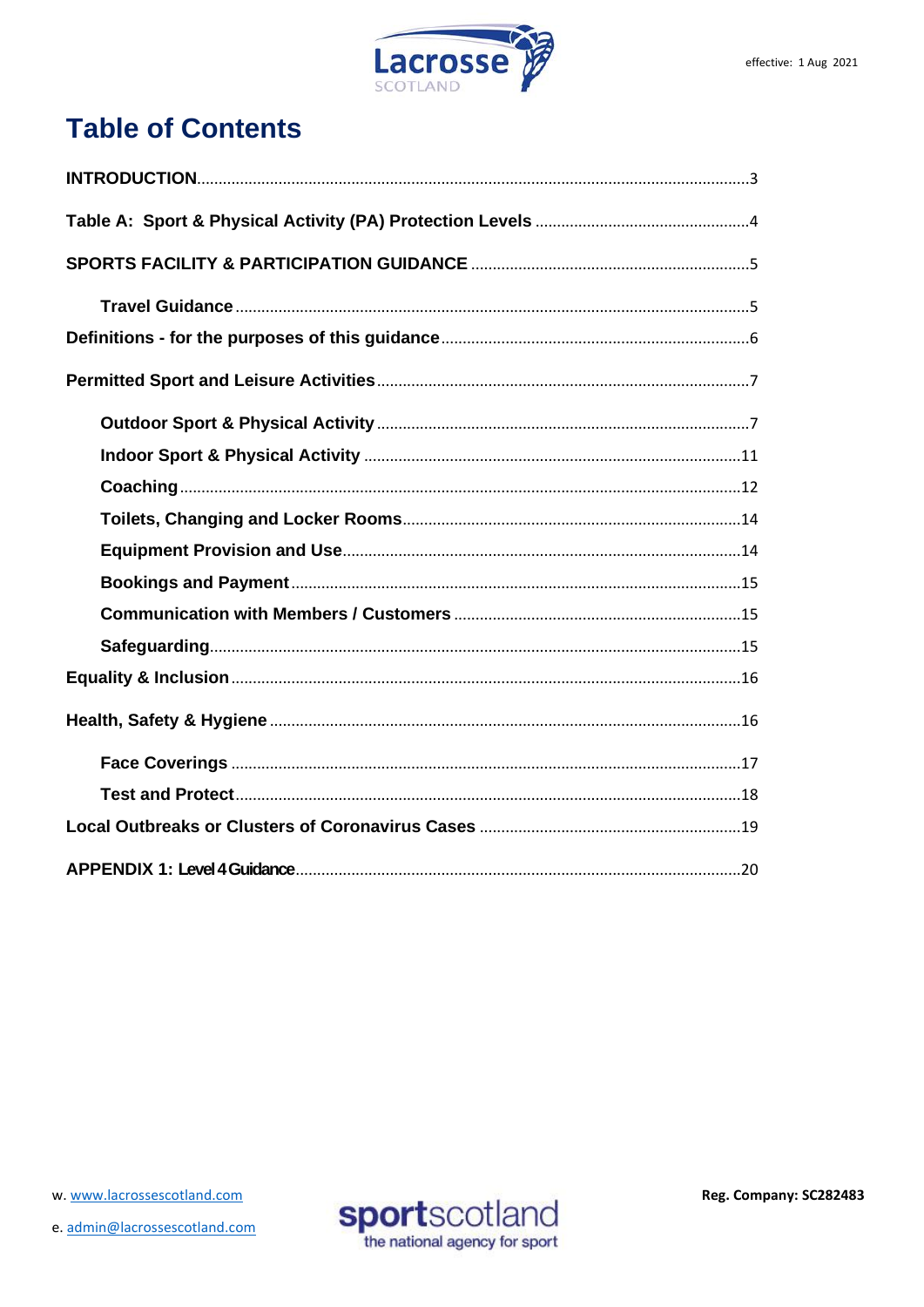

# **Table of Contents**

w. www.lacrossescotland.com

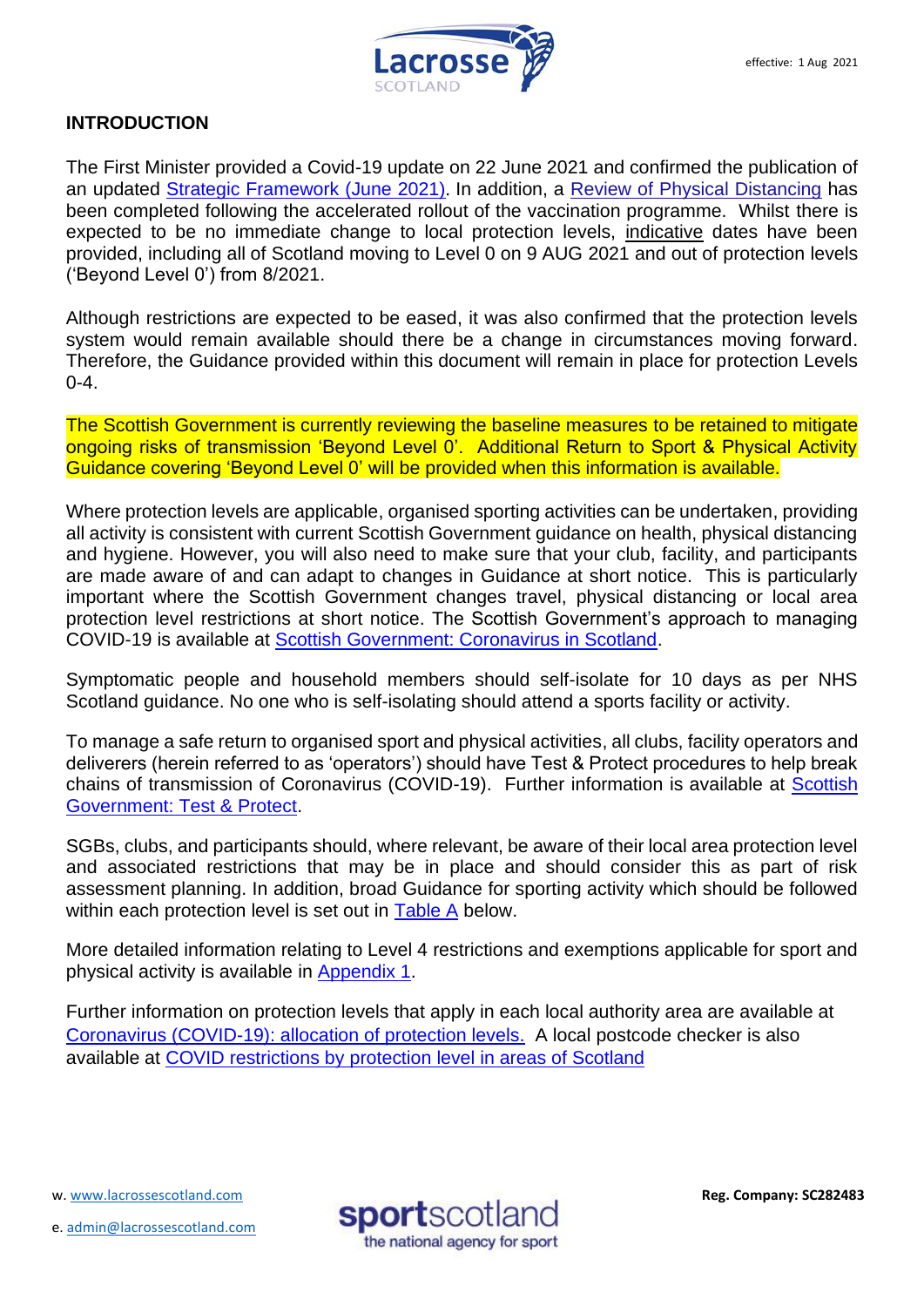

# <span id="page-2-0"></span>**INTRODUCTION**

The First Minister provided a Covid-19 update on 22 June 2021 and confirmed the publication of an updated [Strategic Framework \(June 2021\)](https://www.gov.scot/publications/coronavirus-covid-19-scotlands-strategic-framework-update-june-2021/). In addition, a [Review of Physical Distancing](https://www.gov.scot/publications/coronavirus-covid-19-review-physical-distancing-scotland-june-2021/) has been completed following the accelerated rollout of the vaccination programme. Whilst there is expected to be no immediate change to local protection levels, indicative dates have been provided, including all of Scotland moving to Level 0 on 9 AUG 2021 and out of protection levels ('Beyond Level 0') from 8/2021.

Although restrictions are expected to be eased, it was also confirmed that the protection levels system would remain available should there be a change in circumstances moving forward. Therefore, the Guidance provided within this document will remain in place for protection Levels  $0 - 4.$ 

The Scottish Government is currently reviewing the baseline measures to be retained to mitigate ongoing risks of transmission 'Beyond Level 0'. Additional Return to Sport & Physical Activity Guidance covering 'Beyond Level 0' will be provided when this information is available.

Where protection levels are applicable, organised sporting activities can be undertaken, providing all activity is consistent with current Scottish Government guidance on health, physical distancing and hygiene. However, you will also need to make sure that your club, facility, and participants are made aware of and can adapt to changes in Guidance at short notice. This is particularly important where the Scottish Government changes travel, physical distancing or local area protection level restrictions at short notice. The Scottish Government's approach to managing COVID-19 is available at [Scottish Government: Coronavirus in Scotland.](http://www.gov.scot/coronavirus-covid-19/)

Symptomatic people and household members should self-isolate for 10 days as per NHS Scotland guidance. No one who is self-isolating should attend a sports facility or activity.

To manage a safe return to organised sport and physical activities, all clubs, facility operators and deliverers (herein referred to as 'operators') should have Test & Protect procedures to help break chains of transmission of Coronavirus (COVID-19). Further information is available at [Scottish](http://www.gov.scot/publications/coronavirus-covid-19-test-and-protect/)  [Government: Test & Protect.](http://www.gov.scot/publications/coronavirus-covid-19-test-and-protect/)

SGBs, clubs, and participants should, where relevant, be aware of their local area protection level and associated restrictions that may be in place and should consider this as part of risk assessment planning. In addition, broad Guidance for sporting activity which should be followed within each protection level is set out in [Table A](#page-4-2) below.

More detailed information relating to Level 4 restrictions and exemptions applicable for sport and physical activity is available in [Appendix 1.](#page-18-1)

Further information on protection levels that apply in each local authority area are available at [Coronavirus \(COVID-19\): allocation of protection levels.](https://www.gov.scot/publications/coronavirus-covid-19-protection-levels/) A local postcode checker is also available at [COVID restrictions by protection level in areas of Scotland](http://www.gov.scot/check-local-covid-level/)

w[. www.lacrossescotland.com](http://www.lacrossescotland.com/) 

e. [admin@lacrossescotland.com](mailto:admin@lacrossescotland.com)

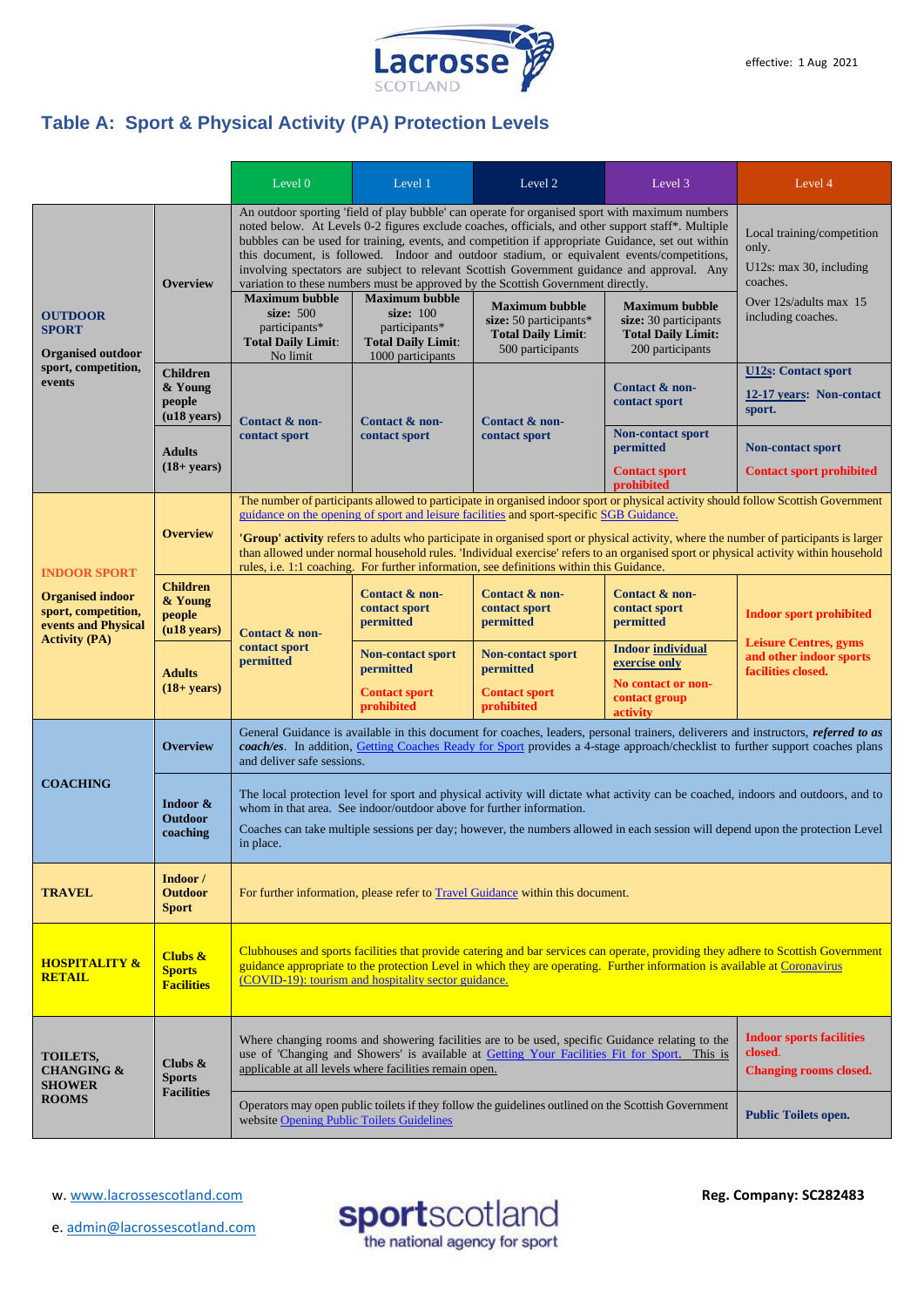

# <span id="page-3-0"></span>**Table A: Sport & Physical Activity (PA) Protection Levels**

|                                                                                                                      |                                                           | Level 0                                                                                                                                                                                                                                                                                                                                                                                                                                                                                                                                                                                                                                                                                        | Level 1                                                                      | Level 2                                                                   | Level 3                                                                | Level 4                                                                                                         |
|----------------------------------------------------------------------------------------------------------------------|-----------------------------------------------------------|------------------------------------------------------------------------------------------------------------------------------------------------------------------------------------------------------------------------------------------------------------------------------------------------------------------------------------------------------------------------------------------------------------------------------------------------------------------------------------------------------------------------------------------------------------------------------------------------------------------------------------------------------------------------------------------------|------------------------------------------------------------------------------|---------------------------------------------------------------------------|------------------------------------------------------------------------|-----------------------------------------------------------------------------------------------------------------|
| <b>OUTDOOR</b><br><b>SPORT</b><br><b>Organised outdoor</b><br>sport, competition,<br>events                          | <b>Overview</b>                                           | An outdoor sporting 'field of play bubble' can operate for organised sport with maximum numbers<br>noted below. At Levels 0-2 figures exclude coaches, officials, and other support staff*. Multiple<br>bubbles can be used for training, events, and competition if appropriate Guidance, set out within<br>this document, is followed. Indoor and outdoor stadium, or equivalent events/competitions,<br>involving spectators are subject to relevant Scottish Government guidance and approval. Any<br>variation to these numbers must be approved by the Scottish Government directly.<br><b>Maximum bubble</b><br><b>Maximum bubble</b><br><b>Maximum bubble</b><br><b>Maximum bubble</b> |                                                                              |                                                                           |                                                                        | Local training/competition<br>only.<br>U12s: max 30, including<br>coaches.<br>Over 12s/adults max 15            |
|                                                                                                                      |                                                           | size: 500<br>participants*<br><b>Total Daily Limit:</b><br>No limit                                                                                                                                                                                                                                                                                                                                                                                                                                                                                                                                                                                                                            | size: 100<br>participants*<br><b>Total Daily Limit:</b><br>1000 participants | size: $50$ participants*<br><b>Total Daily Limit:</b><br>500 participants | size: 30 participants<br><b>Total Daily Limit:</b><br>200 participants | including coaches.                                                                                              |
|                                                                                                                      | <b>Children</b><br>& Young<br>people<br>$($ u18 years $)$ | Contact & non-<br>contact sport                                                                                                                                                                                                                                                                                                                                                                                                                                                                                                                                                                                                                                                                | Contact & non-<br>contact sport                                              | Contact & non-<br>contact sport                                           | Contact & non-<br>contact sport                                        | <b>U12s: Contact sport</b><br>12-17 years: Non-contact<br>sport.                                                |
|                                                                                                                      | <b>Adults</b><br>$(18 + years)$                           |                                                                                                                                                                                                                                                                                                                                                                                                                                                                                                                                                                                                                                                                                                |                                                                              |                                                                           | <b>Non-contact sport</b><br>permitted<br><b>Contact sport</b>          | <b>Non-contact sport</b><br><b>Contact sport prohibited</b>                                                     |
|                                                                                                                      |                                                           | prohibited<br>The number of participants allowed to participate in organised indoor sport or physical activity should follow Scottish Government                                                                                                                                                                                                                                                                                                                                                                                                                                                                                                                                               |                                                                              |                                                                           |                                                                        |                                                                                                                 |
| <b>INDOOR SPORT</b><br><b>Organised indoor</b><br>sport, competition,<br>events and Physical<br><b>Activity (PA)</b> | <b>Overview</b>                                           | guidance on the opening of sport and leisure facilities and sport-specific SGB Guidance.<br><b>'Group' activity</b> refers to adults who participate in organised sport or physical activity, where the number of participants is larger<br>than allowed under normal household rules. 'Individual exercise' refers to an organised sport or physical activity within household<br>rules, i.e. 1:1 coaching. For further information, see definitions within this Guidance.                                                                                                                                                                                                                    |                                                                              |                                                                           |                                                                        |                                                                                                                 |
|                                                                                                                      | <b>Children</b><br>& Young<br>people<br>$($ u18 years $)$ | Contact & non-<br>contact sport<br>permitted                                                                                                                                                                                                                                                                                                                                                                                                                                                                                                                                                                                                                                                   | Contact & non-<br>contact sport<br>permitted                                 | Contact & non-<br>contact sport<br>permitted                              | Contact & non-<br>contact sport<br>permitted                           | <b>Indoor sport prohibited</b><br><b>Leisure Centres, gyms</b><br>and other indoor sports<br>facilities closed. |
|                                                                                                                      | <b>Adults</b><br>$(18 + years)$                           |                                                                                                                                                                                                                                                                                                                                                                                                                                                                                                                                                                                                                                                                                                | <b>Non-contact sport</b><br>permitted                                        | <b>Non-contact sport</b><br>permitted                                     | <b>Indoor individual</b><br>exercise only                              |                                                                                                                 |
|                                                                                                                      |                                                           |                                                                                                                                                                                                                                                                                                                                                                                                                                                                                                                                                                                                                                                                                                | <b>Contact sport</b><br>prohibited                                           | <b>Contact sport</b><br>prohibited                                        | No contact or non-<br>contact group<br>activity                        |                                                                                                                 |
| <b>COACHING</b>                                                                                                      | <b>Overview</b>                                           | General Guidance is available in this document for coaches, leaders, personal trainers, deliverers and instructors, referred to as<br>coach/es. In addition, Getting Coaches Ready for Sport provides a 4-stage approach/checklist to further support coaches plans<br>and deliver safe sessions.                                                                                                                                                                                                                                                                                                                                                                                              |                                                                              |                                                                           |                                                                        |                                                                                                                 |
|                                                                                                                      | Indoor &<br><b>Outdoor</b><br>coaching                    | The local protection level for sport and physical activity will dictate what activity can be coached, indoors and outdoors, and to<br>whom in that area. See indoor/outdoor above for further information.<br>Coaches can take multiple sessions per day; however, the numbers allowed in each session will depend upon the protection Level<br>in place.                                                                                                                                                                                                                                                                                                                                      |                                                                              |                                                                           |                                                                        |                                                                                                                 |
| <b>TRAVEL</b>                                                                                                        | Indoor /<br><b>Outdoor</b><br><b>Sport</b>                | For further information, please refer to Travel Guidance within this document.                                                                                                                                                                                                                                                                                                                                                                                                                                                                                                                                                                                                                 |                                                                              |                                                                           |                                                                        |                                                                                                                 |
| <b>HOSPITALITY &amp;</b><br><b>RETAIL</b>                                                                            | Clubs $\&$<br><b>Sports</b><br><b>Facilities</b>          | Clubhouses and sports facilities that provide catering and bar services can operate, providing they adhere to Scottish Government<br>guidance appropriate to the protection Level in which they are operating. Further information is available at Coronavirus<br>(COVID-19): tourism and hospitality sector guidance.                                                                                                                                                                                                                                                                                                                                                                         |                                                                              |                                                                           |                                                                        |                                                                                                                 |
| TOILETS,<br><b>CHANGING &amp;</b><br><b>SHOWER</b><br><b>ROOMS</b>                                                   | Clubs $\&$<br><b>Sports</b><br><b>Facilities</b>          | <b>Indoor sports facilities</b><br>Where changing rooms and showering facilities are to be used, specific Guidance relating to the<br>closed.<br>use of 'Changing and Showers' is available at Getting Your Facilities Fit for Sport. This is<br>applicable at all levels where facilities remain open.<br><b>Changing rooms closed.</b>                                                                                                                                                                                                                                                                                                                                                       |                                                                              |                                                                           |                                                                        |                                                                                                                 |
|                                                                                                                      |                                                           | Operators may open public toilets if they follow the guidelines outlined on the Scottish Government<br><b>Public Toilets open.</b><br>website Opening Public Toilets Guidelines                                                                                                                                                                                                                                                                                                                                                                                                                                                                                                                |                                                                              |                                                                           |                                                                        |                                                                                                                 |

w[. www.lacrossescotland.com](http://www.lacrossescotland.com/) 

e. [admin@lacrossescotland.com](mailto:admin@lacrossescotland.com)

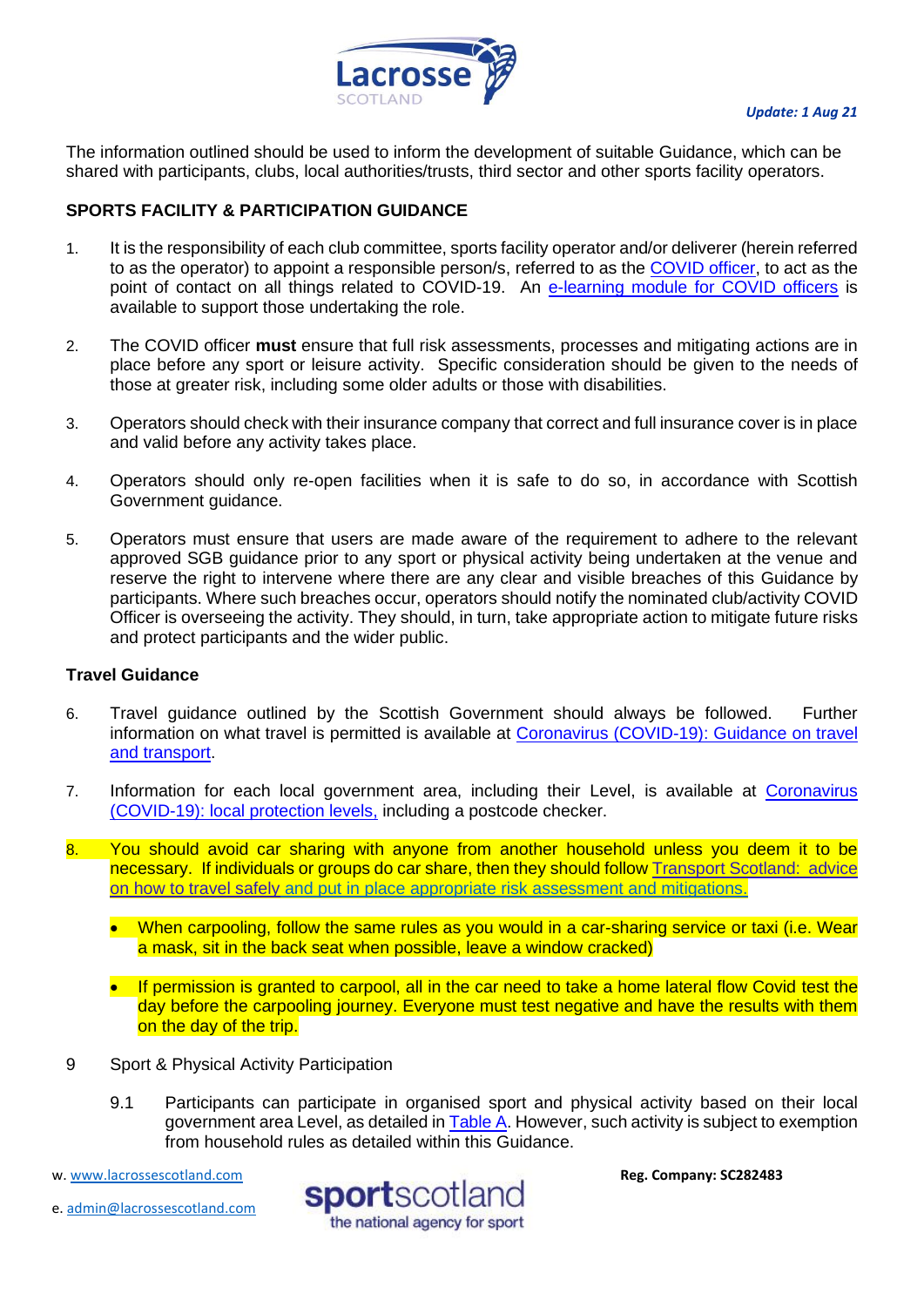

<span id="page-4-2"></span>The information outlined should be used to inform the development of suitable Guidance, which can be shared with participants, clubs, local authorities/trusts, third sector and other sports facility operators.

# <span id="page-4-0"></span>**SPORTS FACILITY & PARTICIPATION GUIDANCE**

- 1. It is the responsibility of each club committee, sports facility operator and/or deliverer (herein referred to as the operator) to appoint a responsible person/s, referred to as the [COVID officer,](http://www.sportscotland.org.uk/media/5950/sportscotland-covid-officer.pdf) to act as the point of contact on all things related to COVID-19. An [e-learning module for COVID officers](https://rise.articulate.com/share/LlEWUj-o23H_4gC1AF002jdxdrCucQC0#/) is available to support those undertaking the role.
- 2. The COVID officer **must** ensure that full risk assessments, processes and mitigating actions are in place before any sport or leisure activity. Specific consideration should be given to the needs of those at greater risk, including some older adults or those with disabilities.
- 3. Operators should check with their insurance company that correct and full insurance cover is in place and valid before any activity takes place.
- 4. Operators should only re-open facilities when it is safe to do so, in accordance with Scottish Government guidance.
- 5. Operators must ensure that users are made aware of the requirement to adhere to the relevant approved SGB guidance prior to any sport or physical activity being undertaken at the venue and reserve the right to intervene where there are any clear and visible breaches of this Guidance by participants. Where such breaches occur, operators should notify the nominated club/activity COVID Officer is overseeing the activity. They should, in turn, take appropriate action to mitigate future risks and protect participants and the wider public.

# <span id="page-4-1"></span>**Travel Guidance**

- 6. Travel guidance outlined by the Scottish Government should always be followed. Further information on what travel is permitted is available at [Coronavirus \(COVID-19\): Guidance on travel](https://www.gov.scot/publications/coronavirus-covid-19-guidance-on-travel-and-transport/)  [and transport.](https://www.gov.scot/publications/coronavirus-covid-19-guidance-on-travel-and-transport/)
- 7. Information for each local government area, including their Level, is available at [Coronavirus](https://www.gov.scot/publications/coronavirus-covid-19-protection-levels/)  [\(COVID-19\): local](https://www.gov.scot/publications/coronavirus-covid-19-protection-levels/) protection levels, including a postcode checker.
- 8. You should avoid car sharing with anyone from another household unless you deem it to be necessary. If individuals or groups do car share, then they should follow Transport Scotland: advice [on how to travel safely](http://www.transport.gov.scot/coronavirus-covid-19/transport-transition-plan/advice-on-how-to-travel-safely/#section-63888) and put in place appropriate risk assessment and mitigations.
	- When carpooling, follow the same rules as you would in a car-sharing service or taxi (i.e. Wear a mask, sit in the back seat when possible, leave a window cracked)
	- If permission is granted to carpool, all in the car need to take a home lateral flow Covid test the day before the carpooling journey. Everyone must test negative and have the results with them on the day of the trip.
- 9 Sport & Physical Activity Participation
	- 9.1 Participants can participate in organised sport and physical activity based on their local government area Level, as detailed in [Table A.](#page-4-2) However, such activity is subject to exemption from household rules as detailed within this Guidance.
- w[. www.lacrossescotland.com](http://www.lacrossescotland.com/)
- e. [admin@lacrossescotland.com](mailto:admin@lacrossescotland.com)

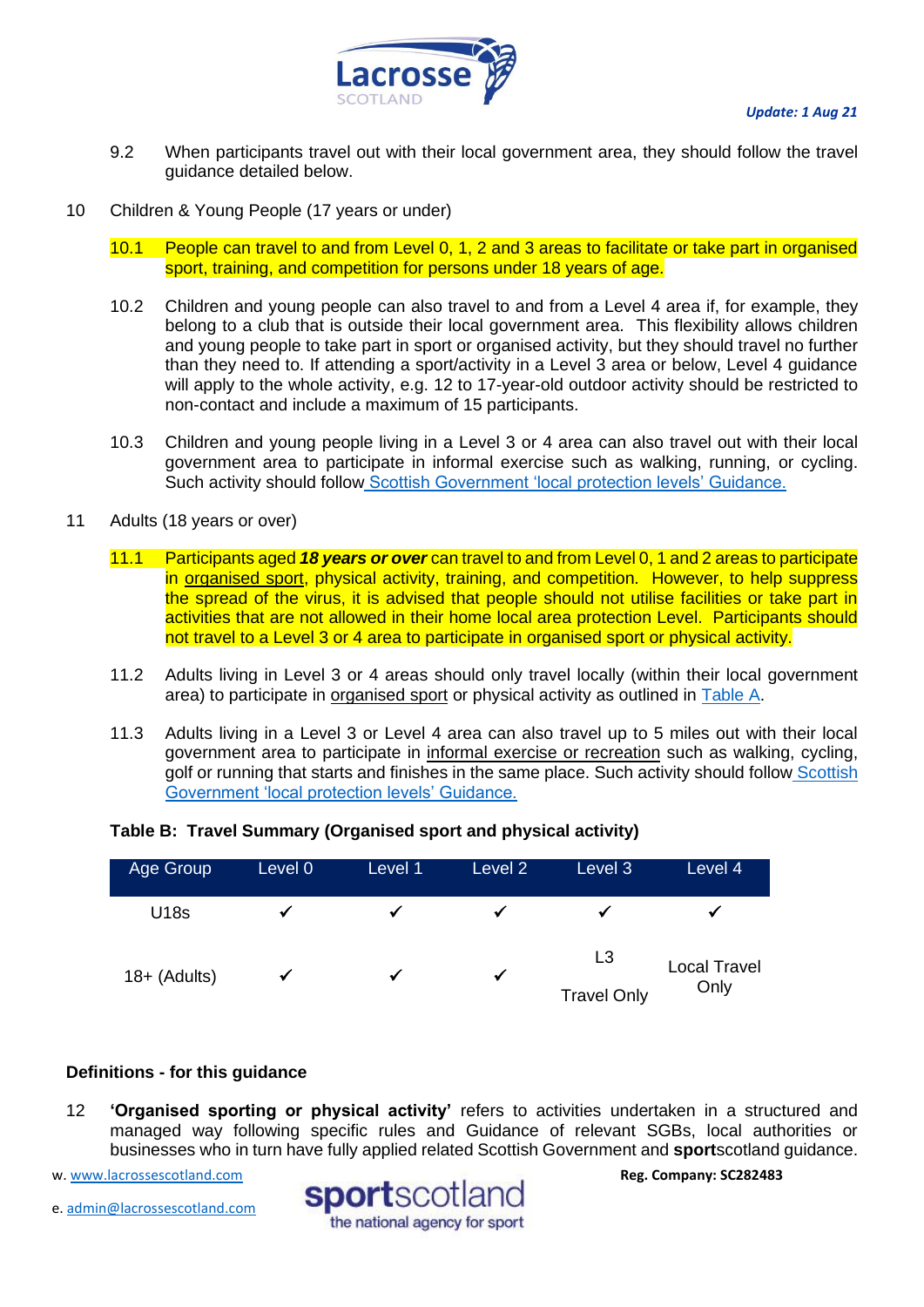

- 9.2 When participants travel out with their local government area, they should follow the travel guidance detailed below.
- 10 Children & Young People (17 years or under)
	- 10.1 People can travel to and from Level 0, 1, 2 and 3 areas to facilitate or take part in organised sport, training, and competition for persons under 18 years of age.
	- 10.2 Children and young people can also travel to and from a Level 4 area if, for example, they belong to a club that is outside their local government area. This flexibility allows children and young people to take part in sport or organised activity, but they should travel no further than they need to. If attending a sport/activity in a Level 3 area or below, Level 4 guidance will apply to the whole activity, e.g. 12 to 17-year-old outdoor activity should be restricted to non-contact and include a maximum of 15 participants.
	- 10.3 Children and young people living in a Level 3 or 4 area can also travel out with their local government area to participate in informal exercise such as walking, running, or cycling. Such activity should follow [Scottish Government 'local protection levels' Guidance.](https://www.gov.scot/publications/coronavirus-covid-19-protection-levels/pages/protection-levels-by-area/)
- 11 Adults (18 years or over)
	- 11.1 Participants aged *18 years or over* can travel to and from Level 0, 1 and 2 areas to participate in organised sport, physical activity, training, and competition. However, to help suppress the spread of the virus, it is advised that people should not utilise facilities or take part in activities that are not allowed in their home local area protection Level. Participants should not travel to a Level 3 or 4 area to participate in organised sport or physical activity.
	- 11.2 Adults living in Level 3 or 4 areas should only travel locally (within their local government area) to participate in organised sport or physical activity as outlined in [Table A.](#page-4-2)
	- 11.3 Adults living in a Level 3 or Level 4 area can also travel up to 5 miles out with their local government area to participate in informal exercise or recreation such as walking, cycling, golf or running that starts and finishes in the same place. Such activity should follow Scottish [Government 'local protection levels' Guidance.](https://www.gov.scot/publications/coronavirus-covid-19-stay-at-home-guidance/)

# **Table B: Travel Summary (Organised sport and physical activity)**



# <span id="page-5-0"></span>**Definitions - for this guidance**

12 **'Organised sporting or physical activity'** refers to activities undertaken in a structured and managed way following specific rules and Guidance of relevant SGBs, local authorities or businesses who in turn have fully applied related Scottish Government and **sport**scotland guidance.

w[. www.lacrossescotland.com](http://www.lacrossescotland.com/) 

e. [admin@lacrossescotland.com](mailto:admin@lacrossescotland.com)

sportscotland the national agency for sport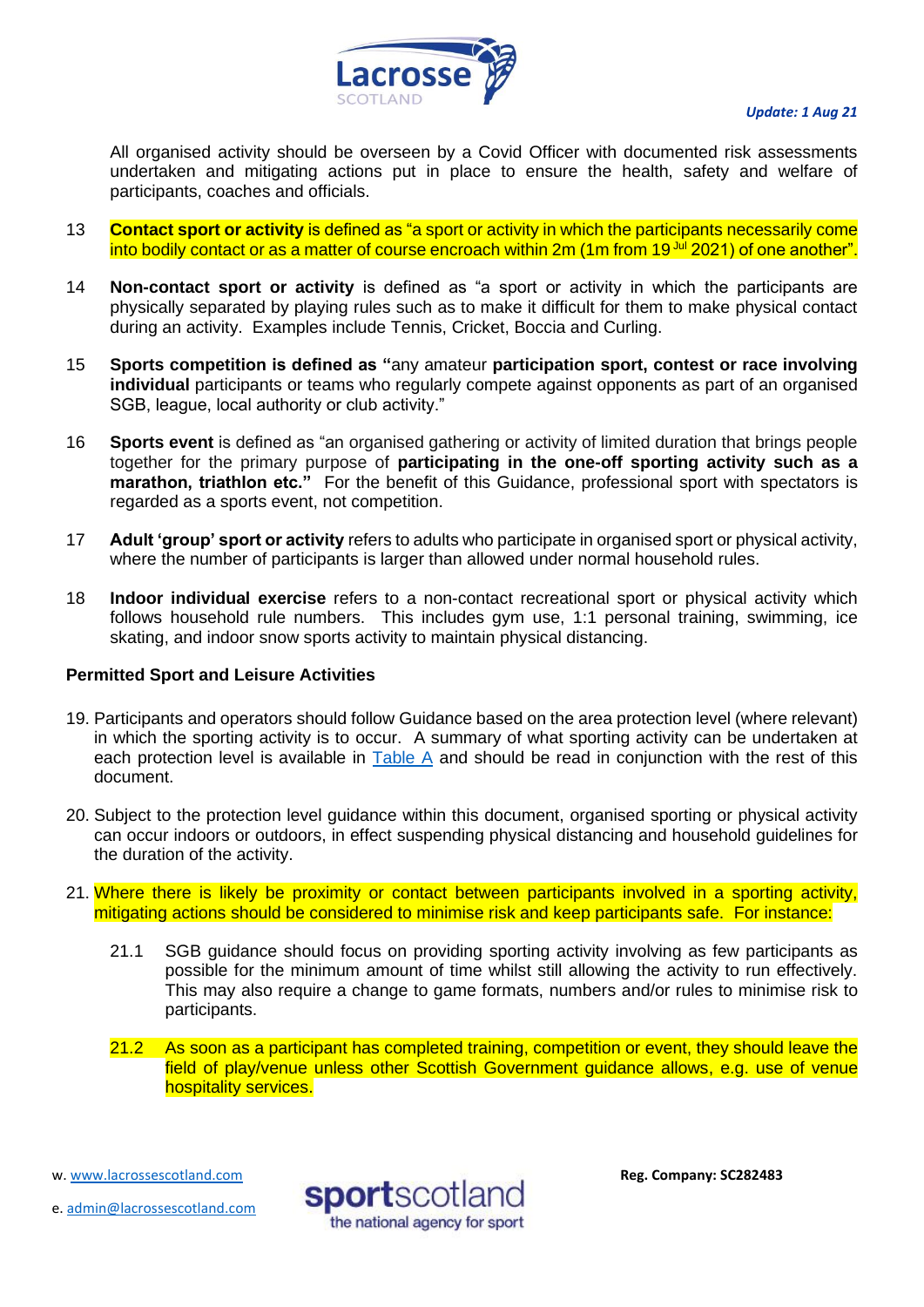

All organised activity should be overseen by a Covid Officer with documented risk assessments undertaken and mitigating actions put in place to ensure the health, safety and welfare of participants, coaches and officials.

- 13 **Contact sport or activity** is defined as "a sport or activity in which the participants necessarily come into bodily contact or as a matter of course encroach within 2m (1m from 19<sup>Jul</sup> 2021) of one another".
- 14 **Non-contact sport or activity** is defined as "a sport or activity in which the participants are physically separated by playing rules such as to make it difficult for them to make physical contact during an activity. Examples include Tennis, Cricket, Boccia and Curling.
- 15 **Sports competition is defined as "**any amateur **participation sport, contest or race involving individual** participants or teams who regularly compete against opponents as part of an organised SGB, league, local authority or club activity."
- 16 **Sports event** is defined as "an organised gathering or activity of limited duration that brings people together for the primary purpose of **participating in the one-off sporting activity such as a marathon, triathlon etc."** For the benefit of this Guidance, professional sport with spectators is regarded as a sports event, not competition.
- 17 **Adult 'group' sport or activity** refers to adults who participate in organised sport or physical activity, where the number of participants is larger than allowed under normal household rules.
- 18 **Indoor individual exercise** refers to a non-contact recreational sport or physical activity which follows household rule numbers. This includes gym use, 1:1 personal training, swimming, ice skating, and indoor snow sports activity to maintain physical distancing.

# <span id="page-6-0"></span>**Permitted Sport and Leisure Activities**

- <span id="page-6-1"></span>19. Participants and operators should follow Guidance based on the area protection level (where relevant) in which the sporting activity is to occur. A summary of what sporting activity can be undertaken at each protection level is available in [Table A](#page-4-2) and should be read in conjunction with the rest of this document.
- 20. Subject to the protection level guidance within this document, organised sporting or physical activity can occur indoors or outdoors, in effect suspending physical distancing and household guidelines for the duration of the activity.
- 21. Where there is likely be proximity or contact between participants involved in a sporting activity, mitigating actions should be considered to minimise risk and keep participants safe. For instance:
	- 21.1 SGB guidance should focus on providing sporting activity involving as few participants as possible for the minimum amount of time whilst still allowing the activity to run effectively. This may also require a change to game formats, numbers and/or rules to minimise risk to participants.
	- 21.2 As soon as a participant has completed training, competition or event, they should leave the field of play/venue unless other Scottish Government guidance allows, e.g. use of venue hospitality services.

w[. www.lacrossescotland.com](http://www.lacrossescotland.com/) 



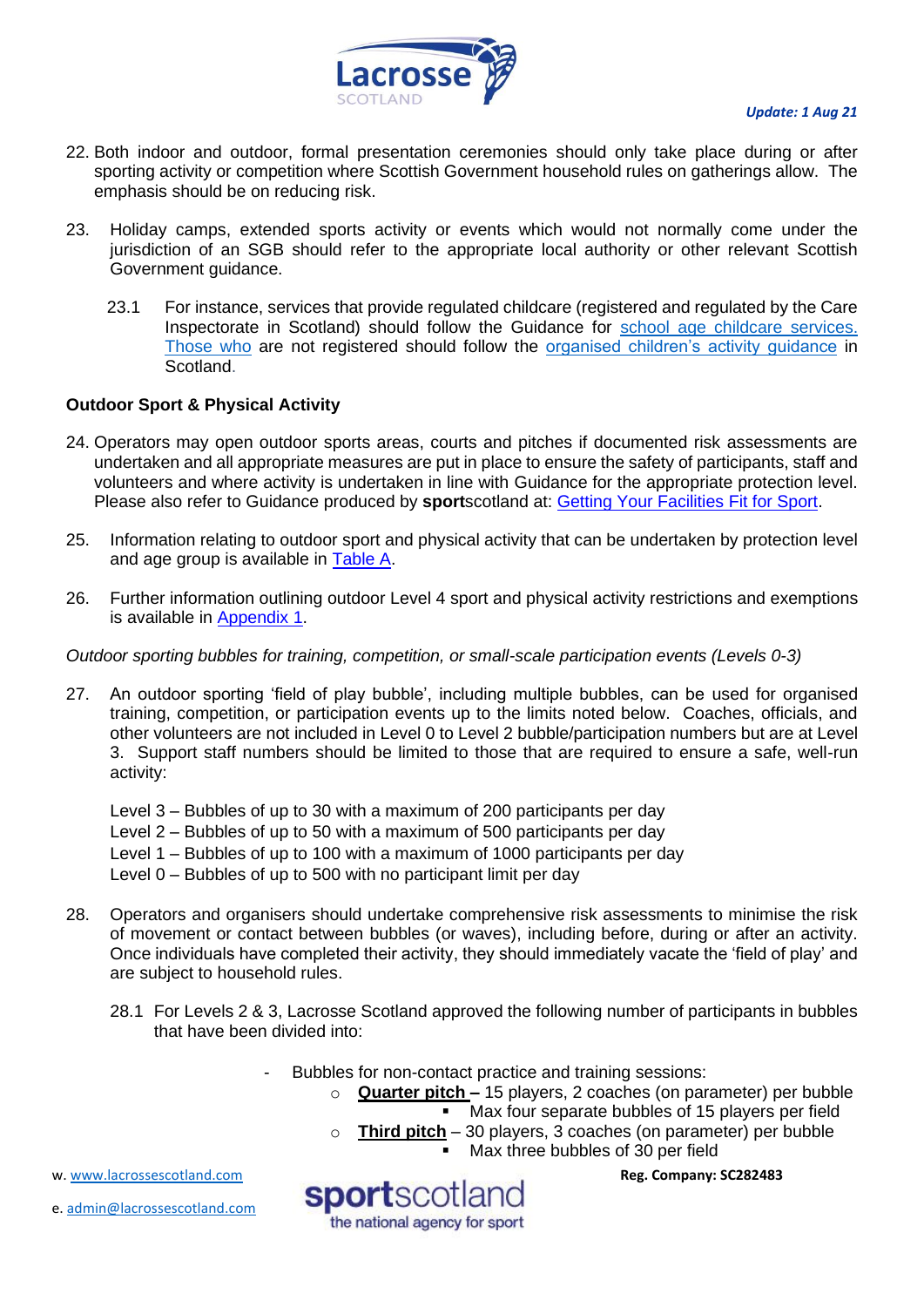

- 22. Both indoor and outdoor, formal presentation ceremonies should only take place during or after sporting activity or competition where Scottish Government household rules on gatherings allow. The emphasis should be on reducing risk.
- 23. Holiday camps, extended sports activity or events which would not normally come under the jurisdiction of an SGB should refer to the appropriate local authority or other relevant Scottish Government guidance.
	- 23.1 For instance, services that provide regulated childcare (registered and regulated by the Care Inspectorate in Scotland) should follow the Guidance for [school age childcare services.](https://protect-eu.mimecast.com/s/32OUCoYgxT9D2YI1gTJb?domain=gov.scot/) Those who are not registered should follow the [organised children's activity guidance](https://protect-eu.mimecast.com/s/YfeLCpgjytk94ohD7Nn7?domain=gov.scot/) in Scotland.

# **Outdoor Sport & Physical Activity**

- 24. Operators may open outdoor sports areas, courts and pitches if documented risk assessments are undertaken and all appropriate measures are put in place to ensure the safety of participants, staff and volunteers and where activity is undertaken in line with Guidance for the appropriate protection level. Please also refer to Guidance produced by **sport**scotland at: [Getting Your Facilities Fit for Sport.](http://www.sportscotland.org.uk/covid-19/getting-your-facilities-fit-for-sport/)
- 25. Information relating to outdoor sport and physical activity that can be undertaken by protection level and age group is available in [Table A.](#page-4-2)
- 26. Further information outlining outdoor Level 4 sport and physical activity restrictions and exemptions is available in [Appendix 1.](#page-18-1)

# *Outdoor sporting bubbles for training, competition, or small-scale participation events (Levels 0-3)*

27. An outdoor sporting 'field of play bubble', including multiple bubbles, can be used for organised training, competition, or participation events up to the limits noted below. Coaches, officials, and other volunteers are not included in Level 0 to Level 2 bubble/participation numbers but are at Level 3. Support staff numbers should be limited to those that are required to ensure a safe, well-run activity:

Level 3 – Bubbles of up to 30 with a maximum of 200 participants per day Level 2 – Bubbles of up to 50 with a maximum of 500 participants per day Level 1 – Bubbles of up to 100 with a maximum of 1000 participants per day Level 0 – Bubbles of up to 500 with no participant limit per day

- 28. Operators and organisers should undertake comprehensive risk assessments to minimise the risk of movement or contact between bubbles (or waves), including before, during or after an activity. Once individuals have completed their activity, they should immediately vacate the 'field of play' and are subject to household rules.
	- 28.1 For Levels 2 & 3, Lacrosse Scotland approved the following number of participants in bubbles that have been divided into:
		- Bubbles for non-contact practice and training sessions:
			- o **Quarter pitch –** 15 players, 2 coaches (on parameter) per bubble
				- Max four separate bubbles of 15 players per field

**Reg. Company: SC282483**

- o **Third pitch** 30 players, 3 coaches (on parameter) per bubble
	- $\blacksquare$  Max three bubbles of 30 per field

w[. www.lacrossescotland.com](http://www.lacrossescotland.com/) 

e. [admin@lacrossescotland.com](mailto:admin@lacrossescotland.com)

sportscotland the national agency for sport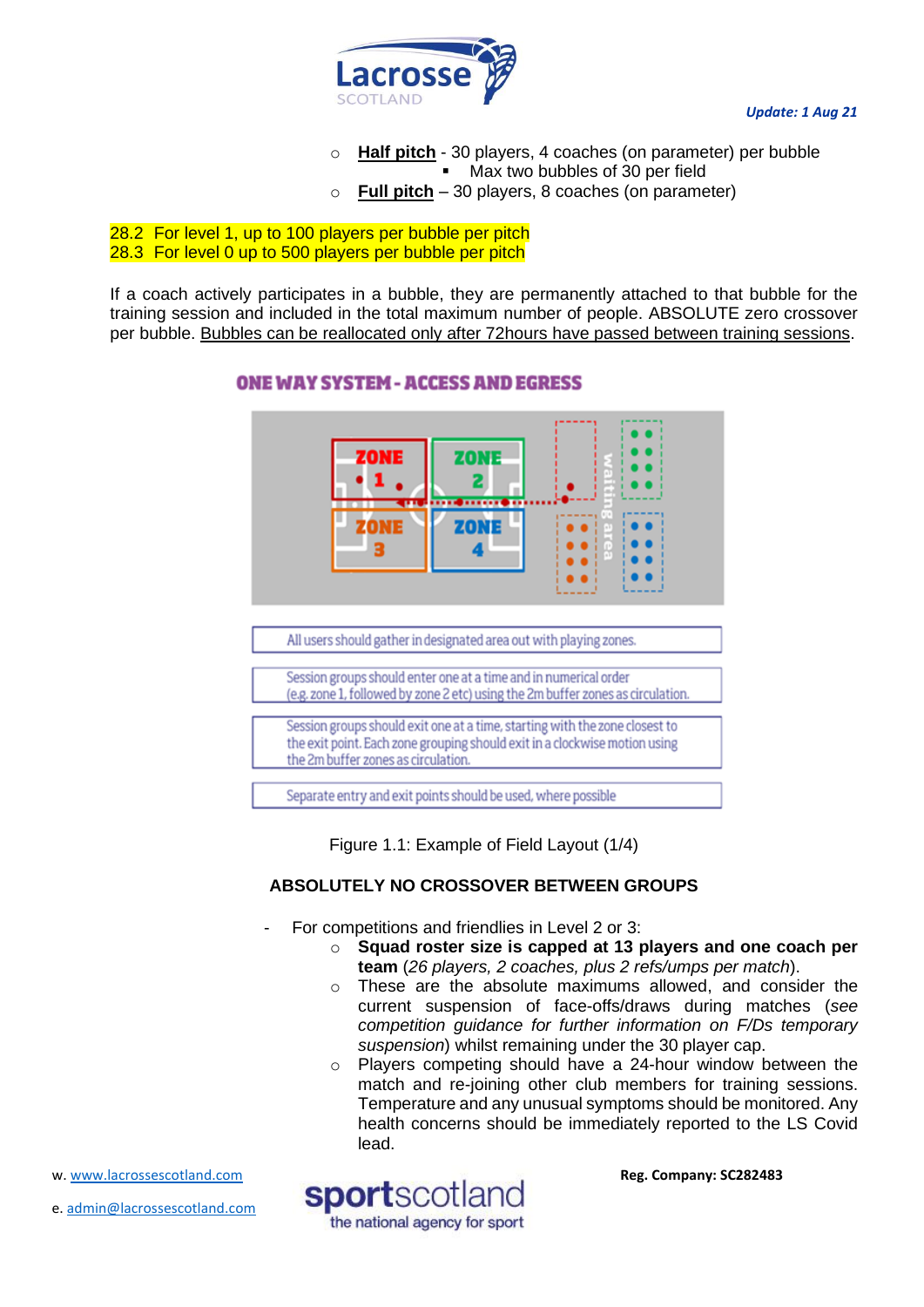

- o **Half pitch** 30 players, 4 coaches (on parameter) per bubble Max two bubbles of 30 per field
- **Full pitch** 30 players, 8 coaches (on parameter)

# 28.2 For level 1, up to 100 players per bubble per pitch 28.3 For level 0 up to 500 players per bubble per pitch

If a coach actively participates in a bubble, they are permanently attached to that bubble for the training session and included in the total maximum number of people. ABSOLUTE zero crossover per bubble. Bubbles can be reallocated only after 72hours have passed between training sessions.



# **ONE WAY SYSTEM - ACCESS AND EGRESS**

Figure 1.1: Example of Field Layout (1/4)

# **ABSOLUTELY NO CROSSOVER BETWEEN GROUPS**

- For competitions and friendlies in Level 2 or 3:
	- o **Squad roster size is capped at 13 players and one coach per team** (*26 players, 2 coaches, plus 2 refs/umps per match*).
	- o These are the absolute maximums allowed, and consider the current suspension of face-offs/draws during matches (*see competition guidance for further information on F/Ds temporary suspension*) whilst remaining under the 30 player cap.
	- o Players competing should have a 24-hour window between the match and re-joining other club members for training sessions. Temperature and any unusual symptoms should be monitored. Any health concerns should be immediately reported to the LS Covid lead.

**Reg. Company: SC282483**

w[. www.lacrossescotland.com](http://www.lacrossescotland.com/) 

e. [admin@lacrossescotland.com](mailto:admin@lacrossescotland.com)

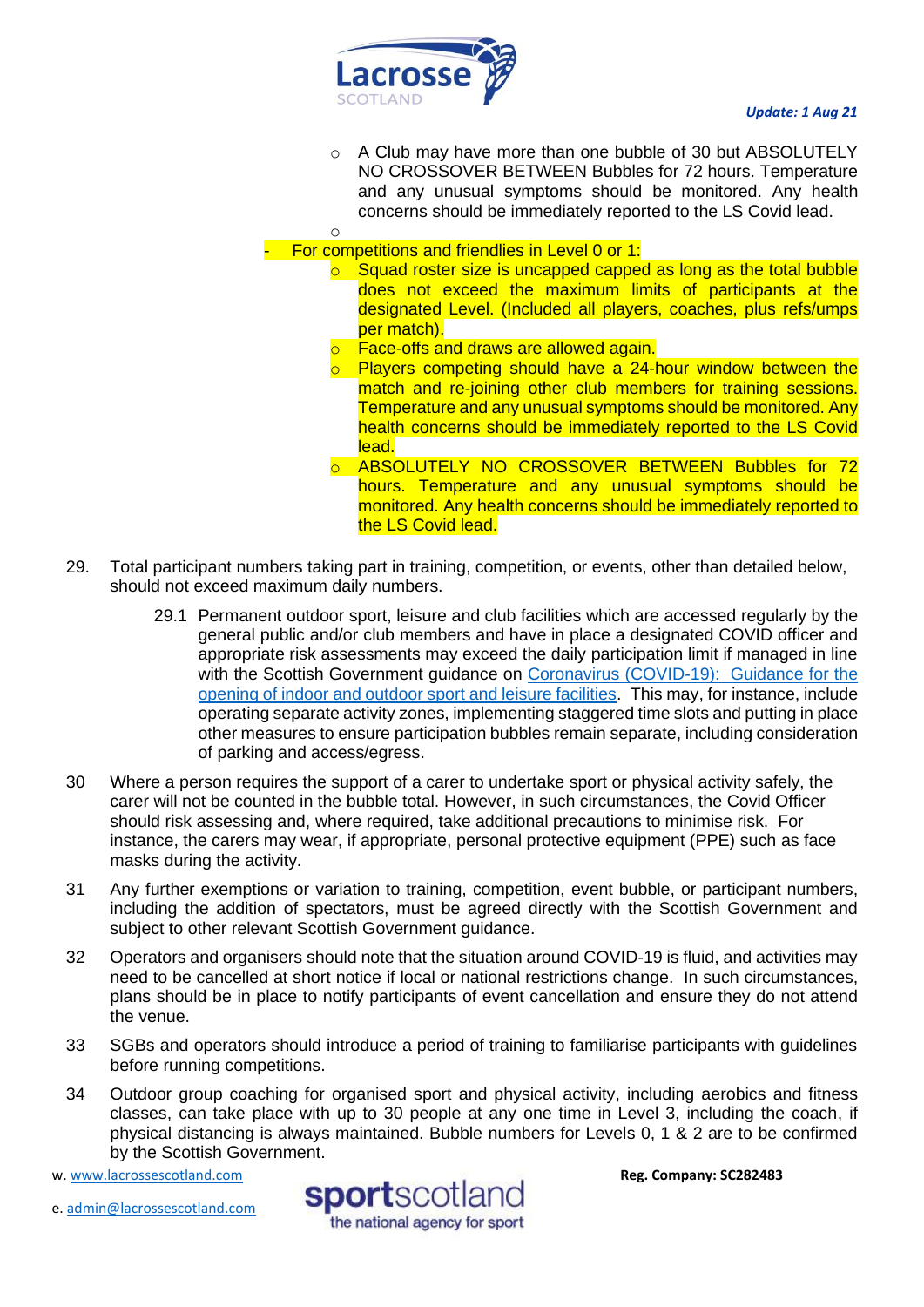

o

o A Club may have more than one bubble of 30 but ABSOLUTELY NO CROSSOVER BETWEEN Bubbles for 72 hours. Temperature and any unusual symptoms should be monitored. Any health concerns should be immediately reported to the LS Covid lead.

- For competitions and friendlies in Level 0 or 1:

- o Squad roster size is uncapped capped as long as the total bubble does not exceed the maximum limits of participants at the designated Level. (Included all players, coaches, plus refs/umps per match).
- **Face-offs and draws are allowed again.**
- o Players competing should have a 24-hour window between the match and re-joining other club members for training sessions. Temperature and any unusual symptoms should be monitored. Any health concerns should be immediately reported to the LS Covid lead.
- o ABSOLUTELY NO CROSSOVER BETWEEN Bubbles for 72 hours. Temperature and any unusual symptoms should be monitored. Any health concerns should be immediately reported to the LS Covid lead.
- 29. Total participant numbers taking part in training, competition, or events, other than detailed below, should not exceed maximum daily numbers.
	- 29.1 Permanent outdoor sport, leisure and club facilities which are accessed regularly by the general public and/or club members and have in place a designated COVID officer and appropriate risk assessments may exceed the daily participation limit if managed in line with the Scottish Government guidance on [Coronavirus \(COVID-19\): Guidance for the](http://www.gov.scot/publications/coronavirus-covid-19-guidance-on-sport-and-leisure-facilities)  [opening of indoor and outdoor sport and leisure facilities.](http://www.gov.scot/publications/coronavirus-covid-19-guidance-on-sport-and-leisure-facilities) This may, for instance, include operating separate activity zones, implementing staggered time slots and putting in place other measures to ensure participation bubbles remain separate, including consideration of parking and access/egress.
- 30 Where a person requires the support of a carer to undertake sport or physical activity safely, the carer will not be counted in the bubble total. However, in such circumstances, the Covid Officer should risk assessing and, where required, take additional precautions to minimise risk. For instance, the carers may wear, if appropriate, personal protective equipment (PPE) such as face masks during the activity.
- 31 Any further exemptions or variation to training, competition, event bubble, or participant numbers, including the addition of spectators, must be agreed directly with the Scottish Government and subject to other relevant Scottish Government guidance.
- 32 Operators and organisers should note that the situation around COVID-19 is fluid, and activities may need to be cancelled at short notice if local or national restrictions change. In such circumstances, plans should be in place to notify participants of event cancellation and ensure they do not attend the venue.
- 33 SGBs and operators should introduce a period of training to familiarise participants with guidelines before running competitions.
- 34 Outdoor group coaching for organised sport and physical activity, including aerobics and fitness classes, can take place with up to 30 people at any one time in Level 3, including the coach, if physical distancing is always maintained. Bubble numbers for Levels 0, 1 & 2 are to be confirmed by the Scottish Government.

w[. www.lacrossescotland.com](http://www.lacrossescotland.com/) 



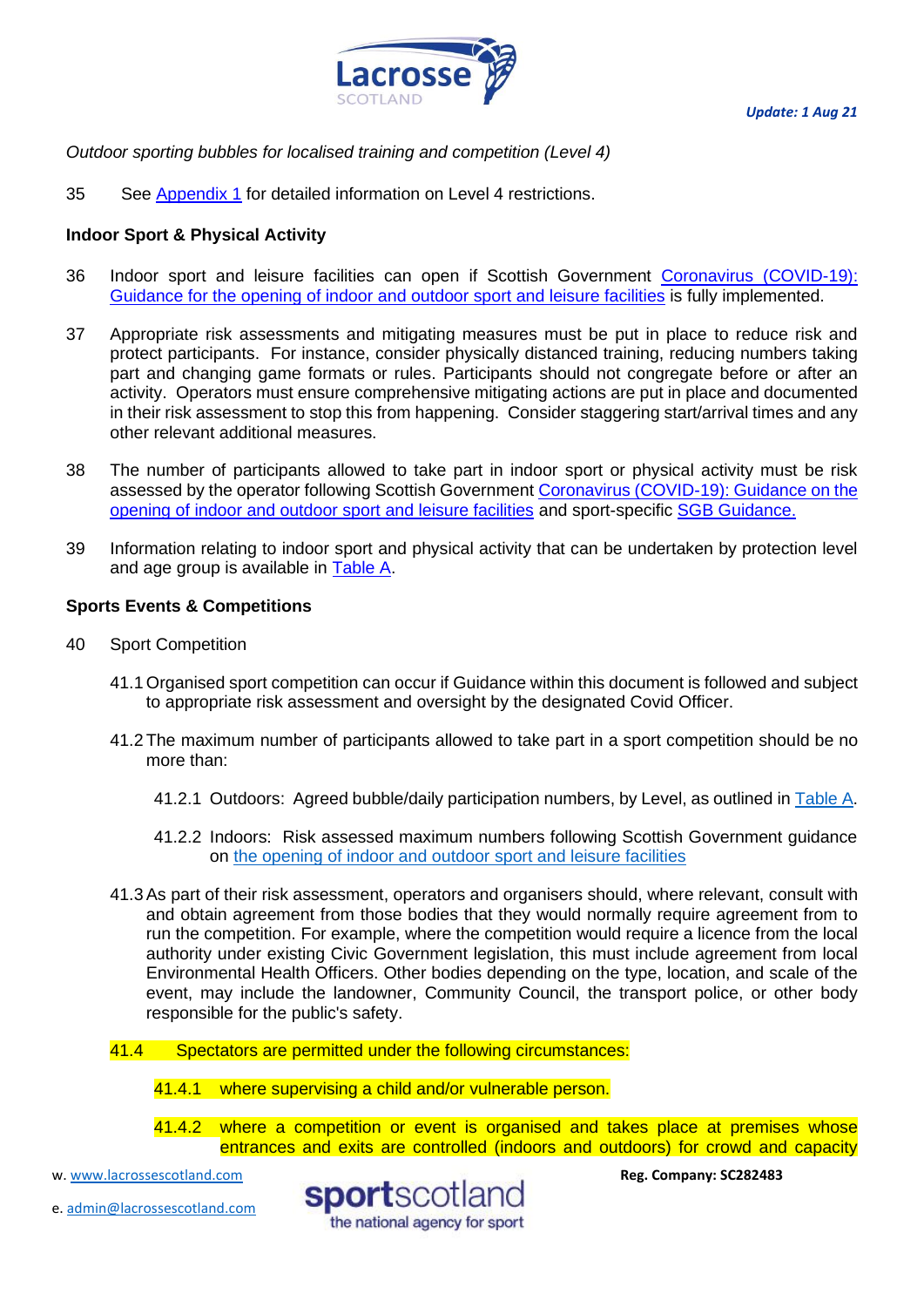

# *Outdoor sporting bubbles for localised training and competition (Level 4)*

35 See [Appendix 1](#page-18-1) for detailed information on Level 4 restrictions.

# <span id="page-10-0"></span>**Indoor Sport & Physical Activity**

- 36 Indoor sport and leisure facilities can open if Scottish Government [Coronavirus \(COVID-19\):](http://www.gov.scot/publications/coronavirus-covid-19-guidance-on-sport-and-leisure-facilities)  [Guidance for the opening of indoor and outdoor sport and leisure facilities](http://www.gov.scot/publications/coronavirus-covid-19-guidance-on-sport-and-leisure-facilities) is fully implemented.
- 37 Appropriate risk assessments and mitigating measures must be put in place to reduce risk and protect participants. For instance, consider physically distanced training, reducing numbers taking part and changing game formats or rules. Participants should not congregate before or after an activity. Operators must ensure comprehensive mitigating actions are put in place and documented in their risk assessment to stop this from happening. Consider staggering start/arrival times and any other relevant additional measures.
- 38 The number of participants allowed to take part in indoor sport or physical activity must be risk assessed by the operator following Scottish Government [Coronavirus \(COVID-19\): Guidance on the](http://www.gov.scot/publications/coronavirus-covid-19-guidance-on-sport-and-leisure-facilities)  [opening of indoor and outdoor sport and leisure facilities](http://www.gov.scot/publications/coronavirus-covid-19-guidance-on-sport-and-leisure-facilities) and sport-specific [SGB Guidance.](https://sportscotland.org.uk/covid-19/latest-sport-and-physical-activity-guidance/)
- 39 Information relating to indoor sport and physical activity that can be undertaken by protection level and age group is available in [Table A.](#page-4-2)

# **Sports Events & Competitions**

- 40 Sport Competition
	- 41.1 Organised sport competition can occur if Guidance within this document is followed and subject to appropriate risk assessment and oversight by the designated Covid Officer.
	- 41.2 The maximum number of participants allowed to take part in a sport competition should be no more than:
		- 41.2.1 Outdoors: Agreed bubble/daily participation numbers, by Level, as outlined in [Table A.](#page-4-2)
		- 41.2.2 Indoors: Risk assessed maximum numbers following Scottish Government guidance on [the opening of indoor and outdoor sport and leisure facilities](http://www.gov.scot/publications/coronavirus-covid-19-guidance-on-sport-and-leisure-facilities)
	- 41.3As part of their risk assessment, operators and organisers should, where relevant, consult with and obtain agreement from those bodies that they would normally require agreement from to run the competition. For example, where the competition would require a licence from the local authority under existing Civic Government legislation, this must include agreement from local Environmental Health Officers. Other bodies depending on the type, location, and scale of the event, may include the landowner, Community Council, the transport police, or other body responsible for the public's safety.
	- 41.4 Spectators are permitted under the following circumstances:
		- 41.4.1 where supervising a child and/or vulnerable person.
		- 41.4.2 where a competition or event is organised and takes place at premises whose entrances and exits are controlled (indoors and outdoors) for crowd and capacity

w[. www.lacrossescotland.com](http://www.lacrossescotland.com/) 

e. [admin@lacrossescotland.com](mailto:admin@lacrossescotland.com)

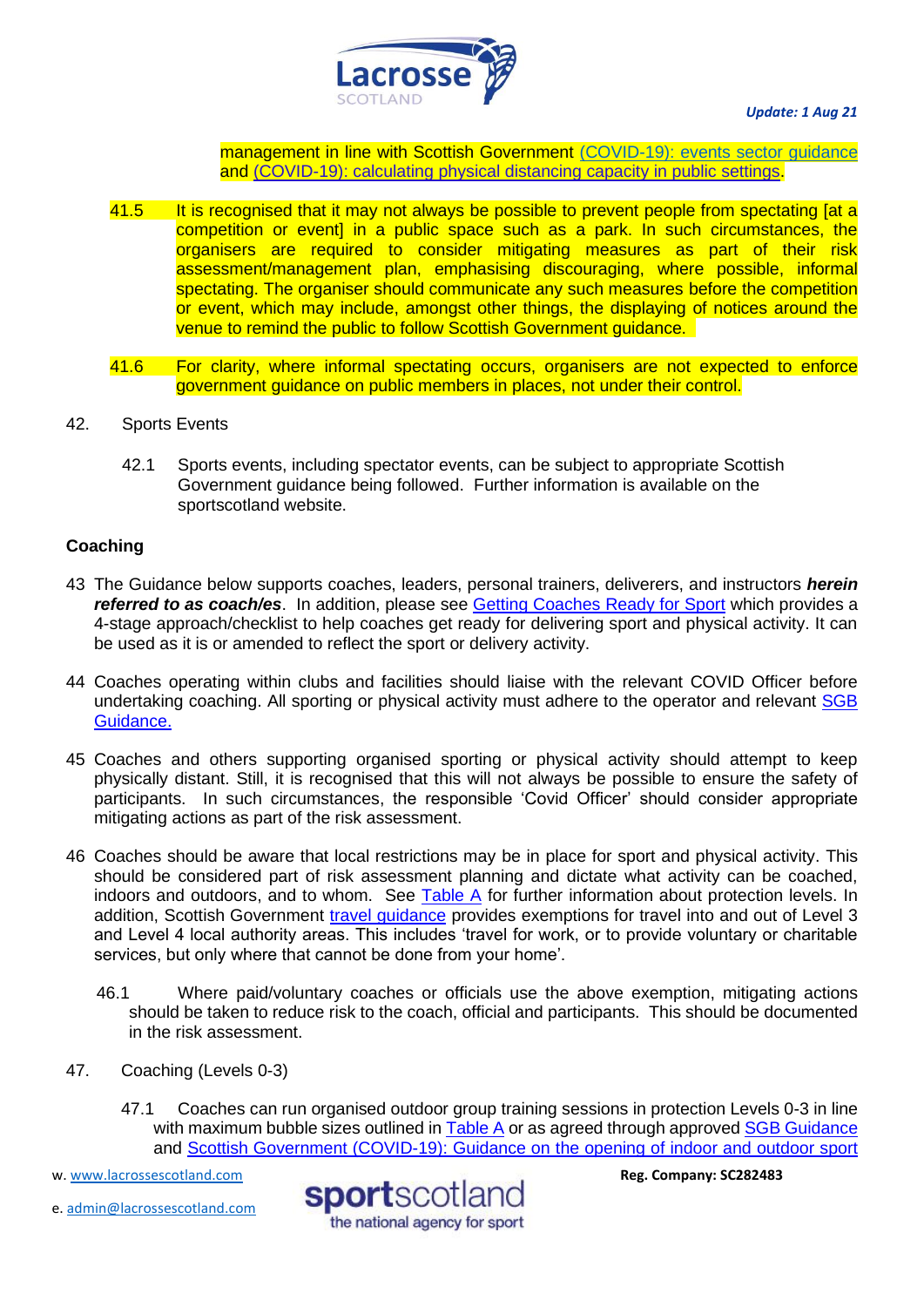

management in line with Scottish Government [\(COVID-19\): events sector guidance](https://protect-eu.mimecast.com/s/FciKCk50qulxM1fQ2ibV?domain=gov.scot/) and [\(COVID-19\): calculating physical distancing capacity in public settings.](https://protect-eu.mimecast.com/s/P4KmClO9rHGQBpiqO5s9?domain=gov.scot/)

- 41.5 It is recognised that it may not always be possible to prevent people from spectating [at a competition or event] in a public space such as a park. In such circumstances, the organisers are required to consider mitigating measures as part of their risk assessment/management plan, emphasising discouraging, where possible, informal spectating. The organiser should communicate any such measures before the competition or event, which may include, amongst other things, the displaying of notices around the venue to remind the public to follow Scottish Government guidance.
- 41.6 For clarity, where informal spectating occurs, organisers are not expected to enforce government guidance on public members in places, not under their control.
- <span id="page-11-0"></span>42. Sports Events
	- 42.1 Sports events, including spectator events, can be subject to appropriate Scottish Government guidance being followed. Further information is available on the sportscotland website.

# **Coaching**

- 43 The Guidance below supports coaches, leaders, personal trainers, deliverers, and instructors *herein referred to as coach/es*. In addition, please see [Getting Coaches Ready for Sport](http://www.sportscotland.org.uk/covid-19/getting-your-coaches-ready-for-sport/) which provides a 4-stage approach/checklist to help coaches get ready for delivering sport and physical activity. It can be used as it is or amended to reflect the sport or delivery activity.
- 44 Coaches operating within clubs and facilities should liaise with the relevant COVID Officer before undertaking coaching. All sporting or physical activity must adhere to the operator and relevant [SGB](https://sportscotland.org.uk/covid-19/latest-sport-and-physical-activity-guidance/)  [Guidance.](https://sportscotland.org.uk/covid-19/latest-sport-and-physical-activity-guidance/)
- 45 Coaches and others supporting organised sporting or physical activity should attempt to keep physically distant. Still, it is recognised that this will not always be possible to ensure the safety of participants. In such circumstances, the responsible 'Covid Officer' should consider appropriate mitigating actions as part of the risk assessment.
- 46 Coaches should be aware that local restrictions may be in place for sport and physical activity. This should be considered part of risk assessment planning and dictate what activity can be coached, indoors and outdoors, and to whom. See [Table A](#page-4-2) for further information about protection levels. In addition, Scottish Government [travel guidance](https://www.gov.scot/publications/coronavirus-covid-19-guidance-on-travel-and-transport/) provides exemptions for travel into and out of Level 3 and Level 4 local authority areas. This includes 'travel for work, or to provide voluntary or charitable services, but only where that cannot be done from your home'.
	- 46.1 Where paid/voluntary coaches or officials use the above exemption, mitigating actions should be taken to reduce risk to the coach, official and participants. This should be documented in the risk assessment.
- 47. Coaching (Levels 0-3)
	- 47.1 Coaches can run organised outdoor group training sessions in protection Levels 0-3 in line with maximum bubble sizes outlined in [Table A](#page-4-2) or as agreed through approved [SGB Guidance](https://sportscotland.org.uk/covid-19/latest-sport-and-physical-activity-guidance/) and [Scottish Government \(COVID-19\): Guidance on the opening of indoor and outdoor sport](http://www.gov.scot/publications/coronavirus-covid-19-guidance-on-sport-and-leisure-facilities)

w[. www.lacrossescotland.com](http://www.lacrossescotland.com/) 



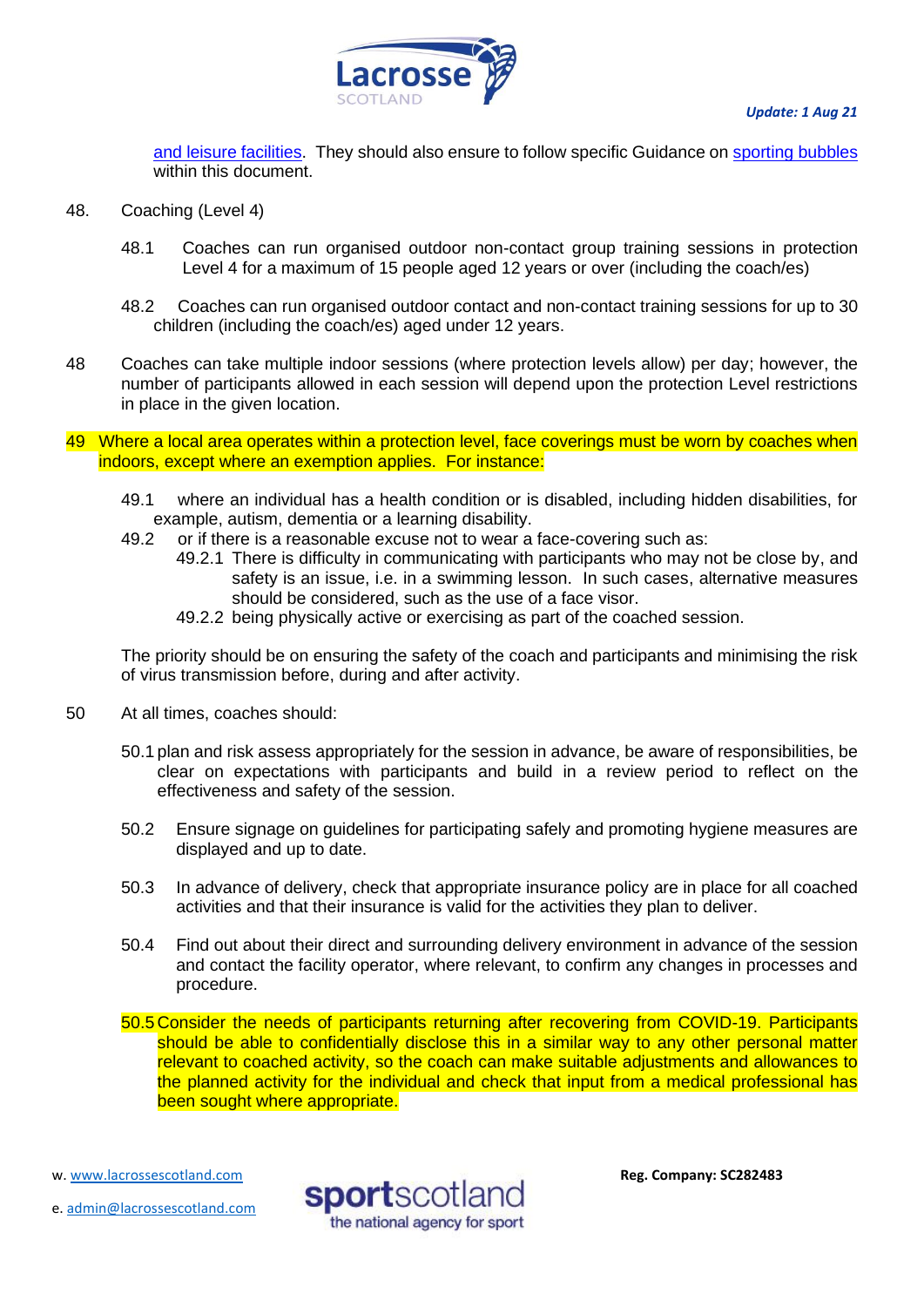

[and leisure facilities.](http://www.gov.scot/publications/coronavirus-covid-19-guidance-on-sport-and-leisure-facilities) They should also ensure to follow specific Guidance on [sporting bubbles](#page-6-1) within this document.

- 48. Coaching (Level 4)
	- 48.1 Coaches can run organised outdoor non-contact group training sessions in protection Level 4 for a maximum of 15 people aged 12 years or over (including the coach/es)
	- 48.2 Coaches can run organised outdoor contact and non-contact training sessions for up to 30 children (including the coach/es) aged under 12 years.
- 48 Coaches can take multiple indoor sessions (where protection levels allow) per day; however, the number of participants allowed in each session will depend upon the protection Level restrictions in place in the given location.
- 49 Where a local area operates within a protection level, face coverings must be worn by coaches when indoors, except where an exemption applies. For instance:
	- 49.1 where an individual has a health condition or is disabled, including hidden disabilities, for example, autism, dementia or a learning disability.
	- 49.2 or if there is a reasonable excuse not to wear a face-covering such as:
		- 49.2.1 There is difficulty in communicating with participants who may not be close by, and safety is an issue, i.e. in a swimming lesson. In such cases, alternative measures should be considered, such as the use of a face visor.
			- 49.2.2 being physically active or exercising as part of the coached session.

The priority should be on ensuring the safety of the coach and participants and minimising the risk of virus transmission before, during and after activity.

- 50 At all times, coaches should:
	- 50.1 plan and risk assess appropriately for the session in advance, be aware of responsibilities, be clear on expectations with participants and build in a review period to reflect on the effectiveness and safety of the session.
	- 50.2 Ensure signage on guidelines for participating safely and promoting hygiene measures are displayed and up to date.
	- 50.3 In advance of delivery, check that appropriate insurance policy are in place for all coached activities and that their insurance is valid for the activities they plan to deliver.
	- 50.4 Find out about their direct and surrounding delivery environment in advance of the session and contact the facility operator, where relevant, to confirm any changes in processes and procedure.

50.5 Consider the needs of participants returning after recovering from COVID-19. Participants should be able to confidentially disclose this in a similar way to any other personal matter relevant to coached activity, so the coach can make suitable adjustments and allowances to the planned activity for the individual and check that input from a medical professional has been sought where appropriate.

w[. www.lacrossescotland.com](http://www.lacrossescotland.com/) 



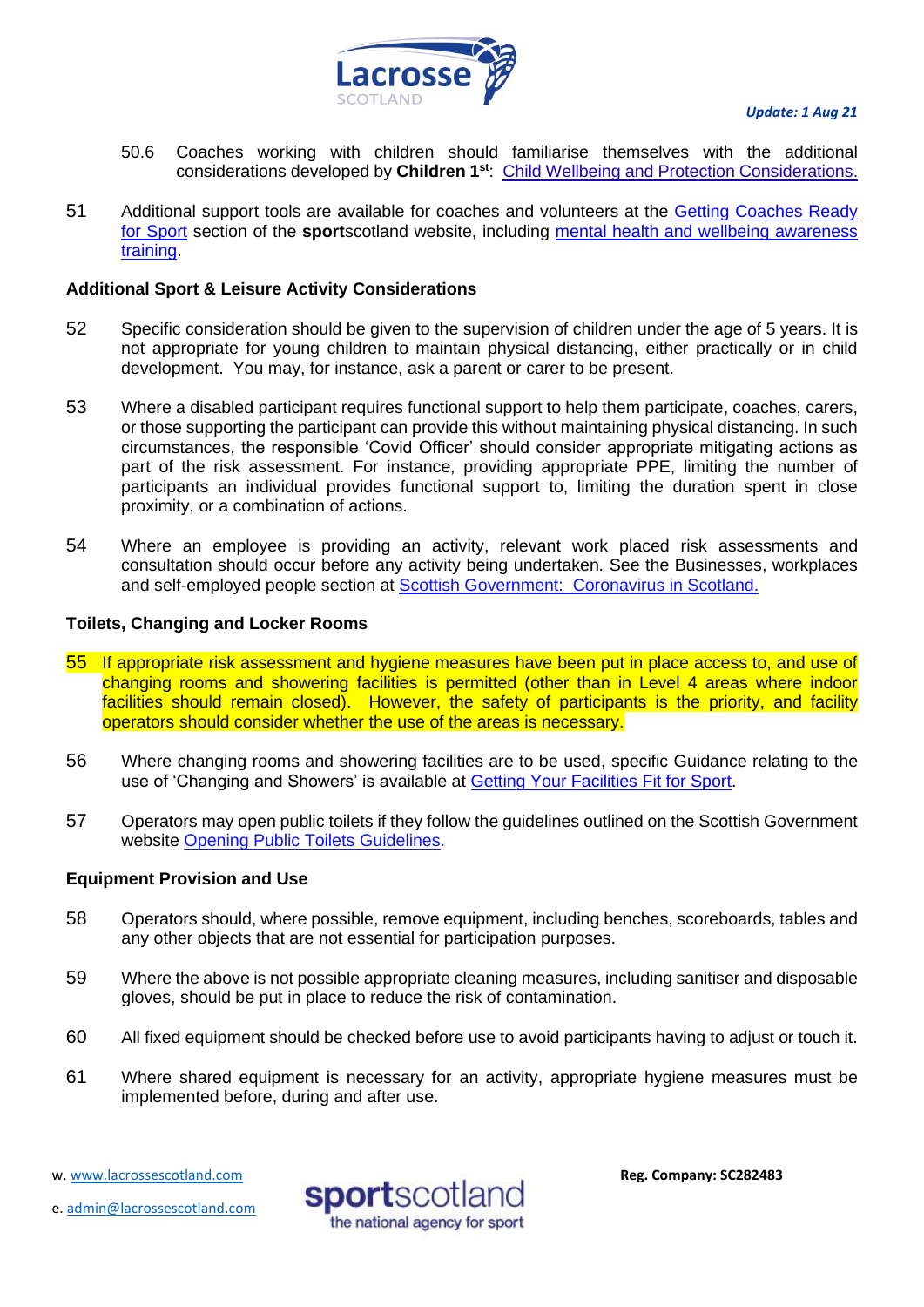

- 50.6 Coaches working with children should familiarise themselves with the additional considerations developed by **Children 1st**: [Child Wellbeing and Protection Considerations.](http://www.sportscotland.org.uk/media/5774/cyp-return-to-sport-after-covid-19.pdf)
- 51 Additional support tools are available for coaches and volunteers at the Getting Coaches Ready [for Sport](https://sportscotland.org.uk/covid-19/getting-coaches-ready-for-sport/) section of the **sport**scotland website, including [mental health and wellbeing awareness](https://sportscotland.info/mentalhealth/#/)  [training.](https://sportscotland.info/mentalhealth/#/)

# **Additional Sport & Leisure Activity Considerations**

- 52 Specific consideration should be given to the supervision of children under the age of 5 years. It is not appropriate for young children to maintain physical distancing, either practically or in child development. You may, for instance, ask a parent or carer to be present.
- 53 Where a disabled participant requires functional support to help them participate, coaches, carers, or those supporting the participant can provide this without maintaining physical distancing. In such circumstances, the responsible 'Covid Officer' should consider appropriate mitigating actions as part of the risk assessment. For instance, providing appropriate PPE, limiting the number of participants an individual provides functional support to, limiting the duration spent in close proximity, or a combination of actions.
- 54 Where an employee is providing an activity, relevant work placed risk assessments and consultation should occur before any activity being undertaken. See the Businesses, workplaces and self-employed people section at [Scottish Government: Coronavirus in Scotland.](http://www.gov.scot/coronavirus-covid-19/)

# <span id="page-13-0"></span>**Toilets, Changing and Locker Rooms**

- 55 If appropriate risk assessment and hygiene measures have been put in place access to, and use of changing rooms and showering facilities is permitted (other than in Level 4 areas where indoor facilities should remain closed). However, the safety of participants is the priority, and facility operators should consider whether the use of the areas is necessary.
- 56 Where changing rooms and showering facilities are to be used, specific Guidance relating to the use of 'Changing and Showers' is available at [Getting Your Facilities Fit for Sport.](http://www.sportscotland.org.uk/covid-19/getting-your-facilities-fit-for-sport/)
- 57 Operators may open public toilets if they follow the guidelines outlined on the Scottish Government website [Opening Public Toilets Guidelines.](http://www.gov.scot/publications/coronavirus-covid-19-public-and-customer-toilets-guidance/pages/overview/)

#### <span id="page-13-1"></span>**Equipment Provision and Use**

- 58 Operators should, where possible, remove equipment, including benches, scoreboards, tables and any other objects that are not essential for participation purposes.
- 59 Where the above is not possible appropriate cleaning measures, including sanitiser and disposable gloves, should be put in place to reduce the risk of contamination.
- 60 All fixed equipment should be checked before use to avoid participants having to adjust or touch it.
- 61 Where shared equipment is necessary for an activity, appropriate hygiene measures must be implemented before, during and after use.

w[. www.lacrossescotland.com](http://www.lacrossescotland.com/) 

e. [admin@lacrossescotland.com](mailto:admin@lacrossescotland.com)

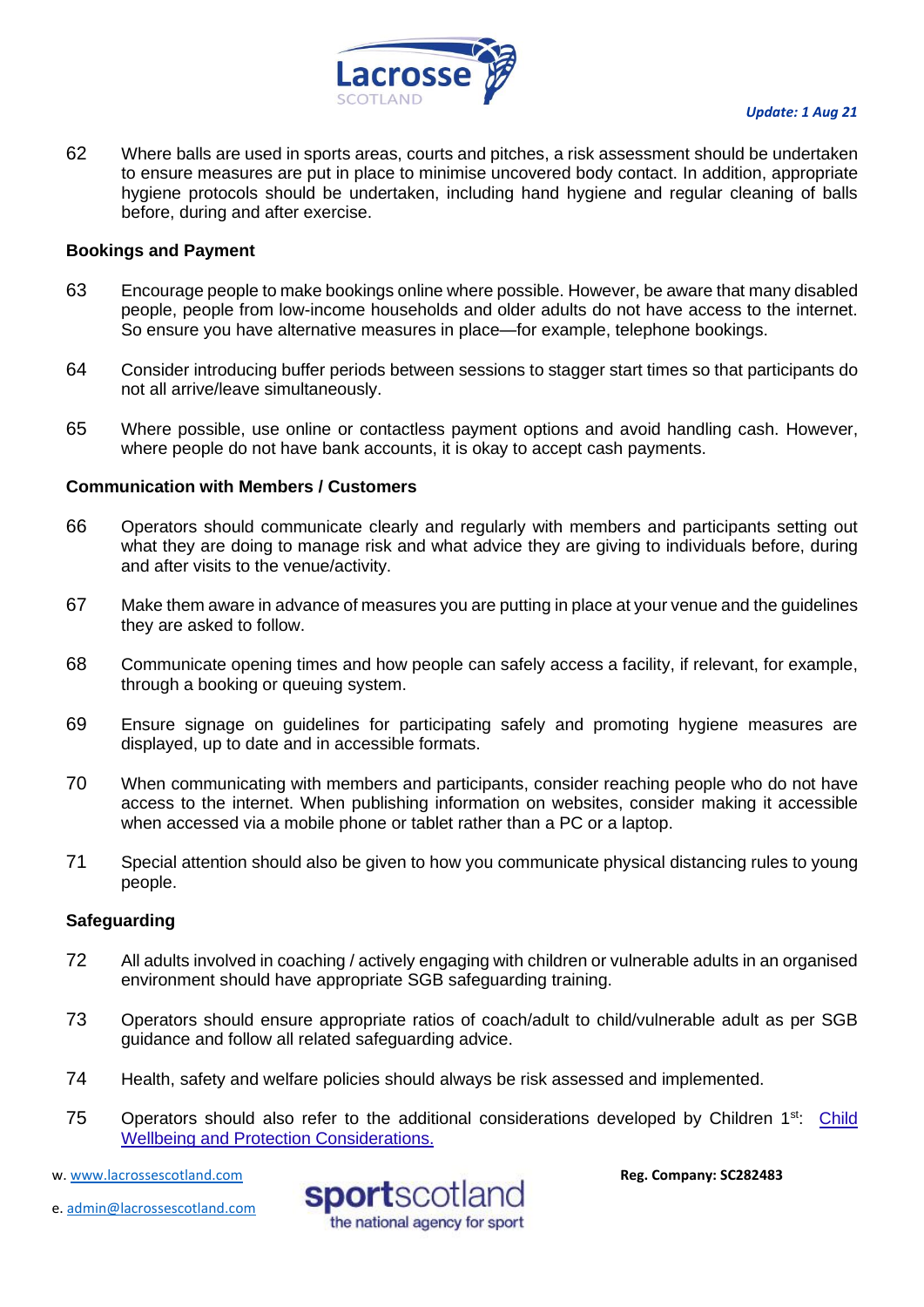

62 Where balls are used in sports areas, courts and pitches, a risk assessment should be undertaken to ensure measures are put in place to minimise uncovered body contact. In addition, appropriate hygiene protocols should be undertaken, including hand hygiene and regular cleaning of balls before, during and after exercise.

### <span id="page-14-0"></span>**Bookings and Payment**

- 63 Encourage people to make bookings online where possible. However, be aware that many disabled people, people from low-income households and older adults do not have access to the internet. So ensure you have alternative measures in place—for example, telephone bookings.
- 64 Consider introducing buffer periods between sessions to stagger start times so that participants do not all arrive/leave simultaneously.
- 65 Where possible, use online or contactless payment options and avoid handling cash. However, where people do not have bank accounts, it is okay to accept cash payments.

# <span id="page-14-1"></span>**Communication with Members / Customers**

- 66 Operators should communicate clearly and regularly with members and participants setting out what they are doing to manage risk and what advice they are giving to individuals before, during and after visits to the venue/activity.
- 67 Make them aware in advance of measures you are putting in place at your venue and the guidelines they are asked to follow.
- 68 Communicate opening times and how people can safely access a facility, if relevant, for example, through a booking or queuing system.
- 69 Ensure signage on guidelines for participating safely and promoting hygiene measures are displayed, up to date and in accessible formats.
- 70 When communicating with members and participants, consider reaching people who do not have access to the internet. When publishing information on websites, consider making it accessible when accessed via a mobile phone or tablet rather than a PC or a laptop.
- 71 Special attention should also be given to how you communicate physical distancing rules to young people.

#### <span id="page-14-2"></span>**Safeguarding**

- 72 All adults involved in coaching / actively engaging with children or vulnerable adults in an organised environment should have appropriate SGB safeguarding training.
- 73 Operators should ensure appropriate ratios of coach/adult to child/vulnerable adult as per SGB guidance and follow all related safeguarding advice.
- 74 Health, safety and welfare policies should always be risk assessed and implemented.
- 75 Operators should also refer to the additional considerations developed by Children 1<sup>st</sup>: Child [Wellbeing and Protection Considerations.](http://www.sportscotland.org.uk/media/5774/cyp-return-to-sport-after-covid-19.pdf)

e. [admin@lacrossescotland.com](mailto:admin@lacrossescotland.com)



w[. www.lacrossescotland.com](http://www.lacrossescotland.com/)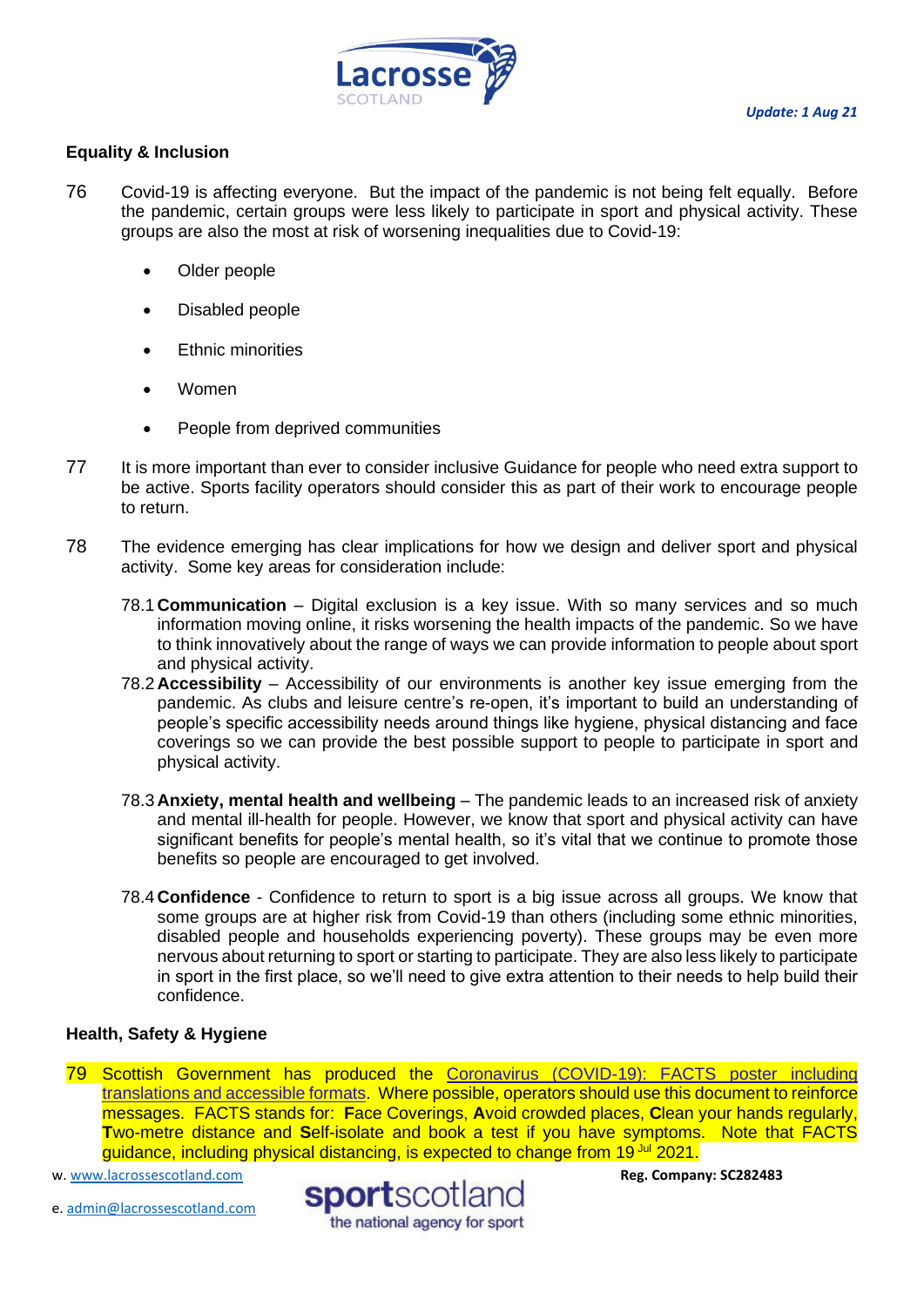

# <span id="page-15-0"></span>**Equality & Inclusion**

- 76 Covid-19 is affecting everyone. But the impact of the pandemic is not being felt equally. Before the pandemic, certain groups were less likely to participate in sport and physical activity. These groups are also the most at risk of worsening inequalities due to Covid-19:
	- Older people
	- Disabled people
	- **Ethnic minorities**
	- Women
	- People from deprived communities
- 77 It is more important than ever to consider inclusive Guidance for people who need extra support to be active. Sports facility operators should consider this as part of their work to encourage people to return.
- 78 The evidence emerging has clear implications for how we design and deliver sport and physical activity. Some key areas for consideration include:
	- 78.1 **Communication** Digital exclusion is a key issue. With so many services and so much information moving online, it risks worsening the health impacts of the pandemic. So we have to think innovatively about the range of ways we can provide information to people about sport and physical activity.
	- 78.2 **Accessibility** Accessibility of our environments is another key issue emerging from the pandemic. As clubs and leisure centre's re-open, it's important to build an understanding of people's specific accessibility needs around things like hygiene, physical distancing and face coverings so we can provide the best possible support to people to participate in sport and physical activity.
	- 78.3 **Anxiety, mental health and wellbeing** The pandemic leads to an increased risk of anxiety and mental ill-health for people. However, we know that sport and physical activity can have significant benefits for people's mental health, so it's vital that we continue to promote those benefits so people are encouraged to get involved.
	- 78.4 **Confidence** Confidence to return to sport is a big issue across all groups. We know that some groups are at higher risk from Covid-19 than others (including some ethnic minorities, disabled people and households experiencing poverty). These groups may be even more nervous about returning to sport or starting to participate. They are also less likely to participate in sport in the first place, so we'll need to give extra attention to their needs to help build their confidence.

# <span id="page-15-1"></span>**Health, Safety & Hygiene**

79 Scottish Government has produced the [Coronavirus \(COVID-19\): FACTS poster including](https://www.gov.scot/binaries/content/documents/govscot/publications/advice-and-guidance/2020/08/coronavirus-covid-19-facts-poster-translations/documents/english/english/govscot%3Adocument/20-21%2B-%2BCoronavirus%2B-%2BTranslations%2B-%2BFACTS%2BPoster%2B-%2BEnglish%2B-%2B9%2BJuly%2B2020.pdf?forceDownload=true)  [translations and accessible formats.](https://www.gov.scot/binaries/content/documents/govscot/publications/advice-and-guidance/2020/08/coronavirus-covid-19-facts-poster-translations/documents/english/english/govscot%3Adocument/20-21%2B-%2BCoronavirus%2B-%2BTranslations%2B-%2BFACTS%2BPoster%2B-%2BEnglish%2B-%2B9%2BJuly%2B2020.pdf?forceDownload=true) Where possible, operators should use this document to reinforce messages. FACTS stands for: **F**ace Coverings, **A**void crowded places, **C**lean your hands regularly, **T**wo-metre distance and **S**elf-isolate and book a test if you have symptoms. Note that FACTS guidance, including physical distancing, is expected to change from 19 Jul 2021.

w[. www.lacrossescotland.com](http://www.lacrossescotland.com/) 



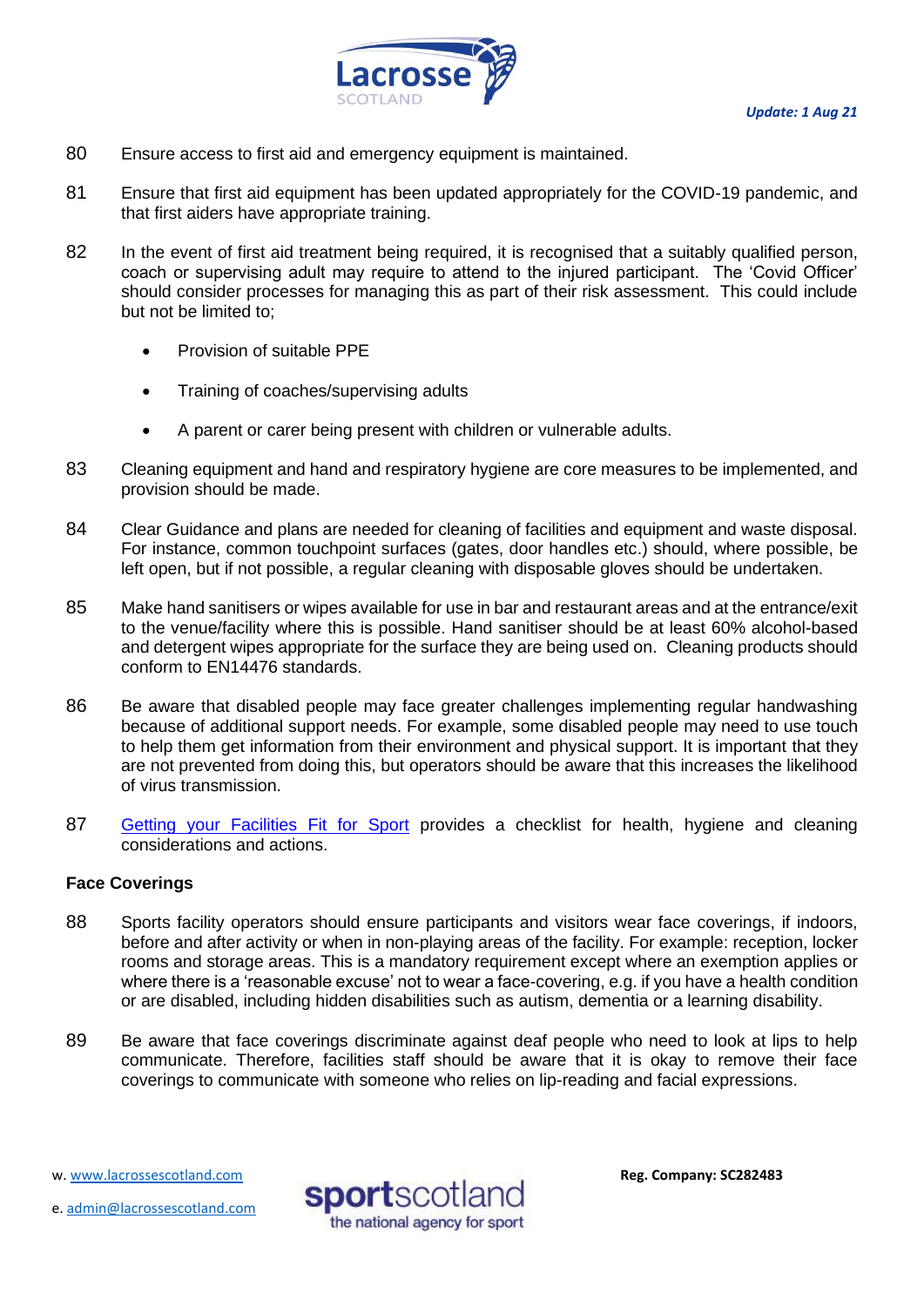

- 80 Ensure access to first aid and emergency equipment is maintained.
- 81 Ensure that first aid equipment has been updated appropriately for the COVID-19 pandemic, and that first aiders have appropriate training.
- 82 In the event of first aid treatment being required, it is recognised that a suitably qualified person, coach or supervising adult may require to attend to the injured participant. The 'Covid Officer' should consider processes for managing this as part of their risk assessment. This could include but not be limited to;
	- Provision of suitable PPE
	- Training of coaches/supervising adults
	- A parent or carer being present with children or vulnerable adults.
- 83 Cleaning equipment and hand and respiratory hygiene are core measures to be implemented, and provision should be made.
- 84 Clear Guidance and plans are needed for cleaning of facilities and equipment and waste disposal. For instance, common touchpoint surfaces (gates, door handles etc.) should, where possible, be left open, but if not possible, a regular cleaning with disposable gloves should be undertaken.
- 85 Make hand sanitisers or wipes available for use in bar and restaurant areas and at the entrance/exit to the venue/facility where this is possible. Hand sanitiser should be at least 60% alcohol-based and detergent wipes appropriate for the surface they are being used on. Cleaning products should conform to EN14476 standards.
- 86 Be aware that disabled people may face greater challenges implementing regular handwashing because of additional support needs. For example, some disabled people may need to use touch to help them get information from their environment and physical support. It is important that they are not prevented from doing this, but operators should be aware that this increases the likelihood of virus transmission.
- 87 [Getting your Facilities Fit for Sport](http://www.sportscotland.org.uk/covid-19/getting-your-facilities-fit-for-sport/) provides a checklist for health, hygiene and cleaning considerations and actions.

# <span id="page-16-0"></span>**Face Coverings**

- 88 Sports facility operators should ensure participants and visitors wear face coverings, if indoors, before and after activity or when in non-playing areas of the facility. For example: reception, locker rooms and storage areas. This is a mandatory requirement except where an exemption applies or where there is a 'reasonable excuse' not to wear a face-covering, e.g. if you have a health condition or are disabled, including hidden disabilities such as autism, dementia or a learning disability.
- 89 Be aware that face coverings discriminate against deaf people who need to look at lips to help communicate. Therefore, facilities staff should be aware that it is okay to remove their face coverings to communicate with someone who relies on lip-reading and facial expressions.

w[. www.lacrossescotland.com](http://www.lacrossescotland.com/) 



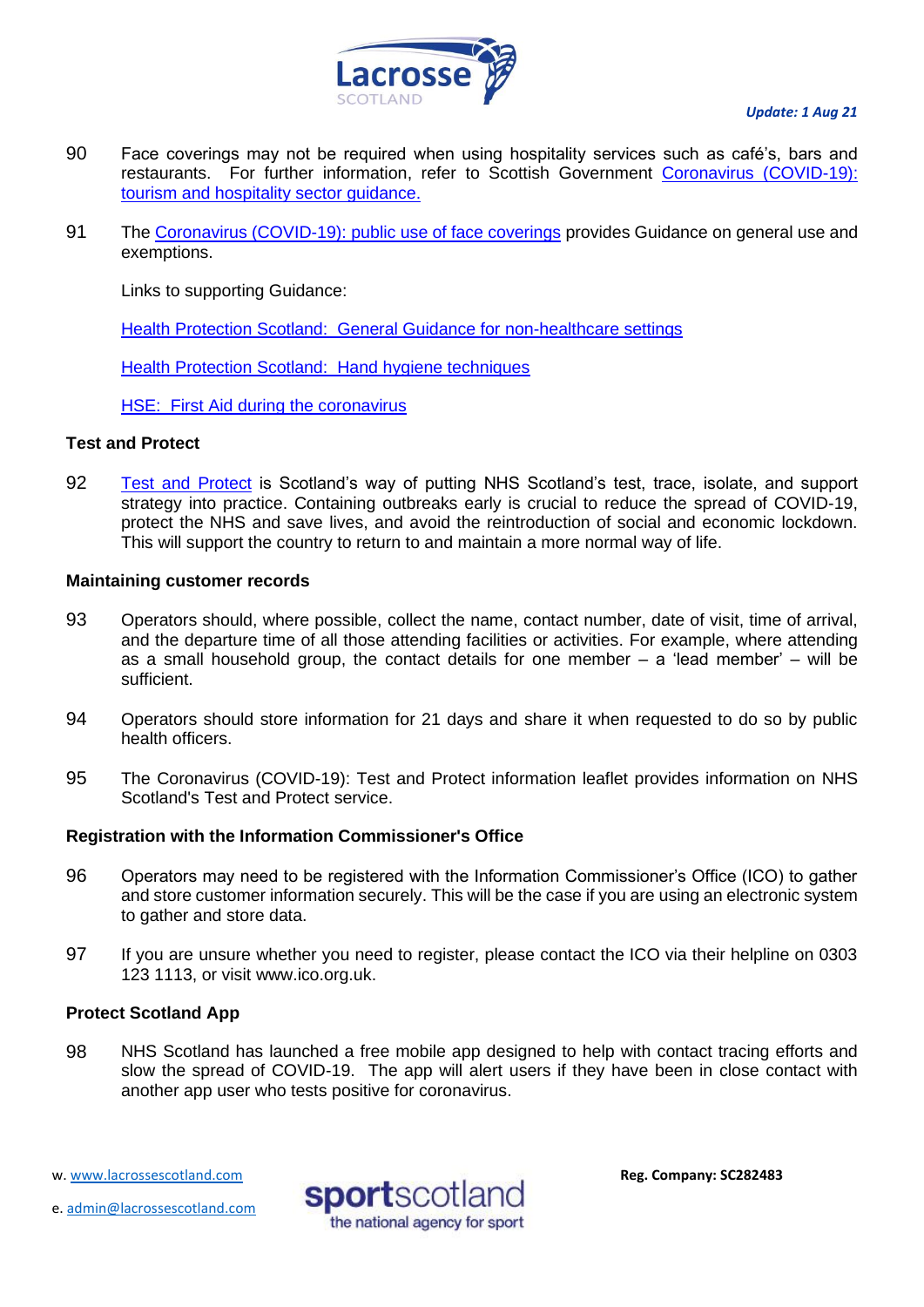

- 90 Face coverings may not be required when using hospitality services such as café's, bars and restaurants. For further information, refer to Scottish Government [Coronavirus \(COVID-19\):](http://www.gov.scot/publications/coronavirus-covid-19-tourism-and-hospitality-sector-guidance/pages/hospitality-statutory-guidance/)  [tourism and hospitality sector guidance.](http://www.gov.scot/publications/coronavirus-covid-19-tourism-and-hospitality-sector-guidance/pages/hospitality-statutory-guidance/)
- 91 The [Coronavirus \(COVID-19\): public use of face coverings](https://www.gov.scot/publications/coronavirus-covid-19-phase-3-staying-safe-and-protecting-others/pages/face-coverings/) provides Guidance on general use and exemptions.

Links to supporting Guidance:

[Health Protection Scotland: General Guidance for non-healthcare settings](http://www.hps.scot.nhs.uk/web-resources-container/covid-19-guidance-for-non-healthcare-settings/)

[Health Protection Scotland: Hand hygiene techniques](http://www.hps.scot.nhs.uk/a-to-z-of-topics/hand-hygiene/)

[HSE: First Aid during the coronavirus](http://www.hse.gov.uk/coronavirus/first-aid-and-medicals/first-aid-certificate-coronavirus.htm)

# <span id="page-17-0"></span>**Test and Protect**

92 [Test and Protect](https://www.nhsinform.scot/campaigns/test-and-protect) is Scotland's way of putting NHS Scotland's test, trace, isolate, and support strategy into practice. Containing outbreaks early is crucial to reduce the spread of COVID-19, protect the NHS and save lives, and avoid the reintroduction of social and economic lockdown. This will support the country to return to and maintain a more normal way of life.

# **Maintaining customer records**

- 93 Operators should, where possible, collect the name, contact number, date of visit, time of arrival, and the departure time of all those attending facilities or activities. For example, where attending as a small household group, the contact details for one member – a 'lead member' – will be sufficient.
- 94 Operators should store information for 21 days and share it when requested to do so by public health officers.
- 95 The [Coronavirus \(COVID-19\): Test and Protect information leaflet](https://www.gov.scot/publications/coronavirus-covid-19-test-and-protect-coronavirus-service/) provides information on NHS Scotland's Test and Protect service.

# **Registration with the Information Commissioner's Office**

- 96 Operators may need to be registered with the Information Commissioner's Office (ICO) to gather and store customer information securely. This will be the case if you are using an electronic system to gather and store data.
- 97 If you are unsure whether you need to register, please contact the ICO via their helpline on 0303 123 1113, or visit [www.ico.org.uk.](http://www.ico.org.uk/)

# **Protect Scotland App**

98 NHS Scotland has launched a free mobile app designed to help with contact tracing efforts and slow the spread of COVID-19. The app will alert users if they have been in close contact with another app user who tests positive for coronavirus.

e. [admin@lacrossescotland.com](mailto:admin@lacrossescotland.com)



w[. www.lacrossescotland.com](http://www.lacrossescotland.com/)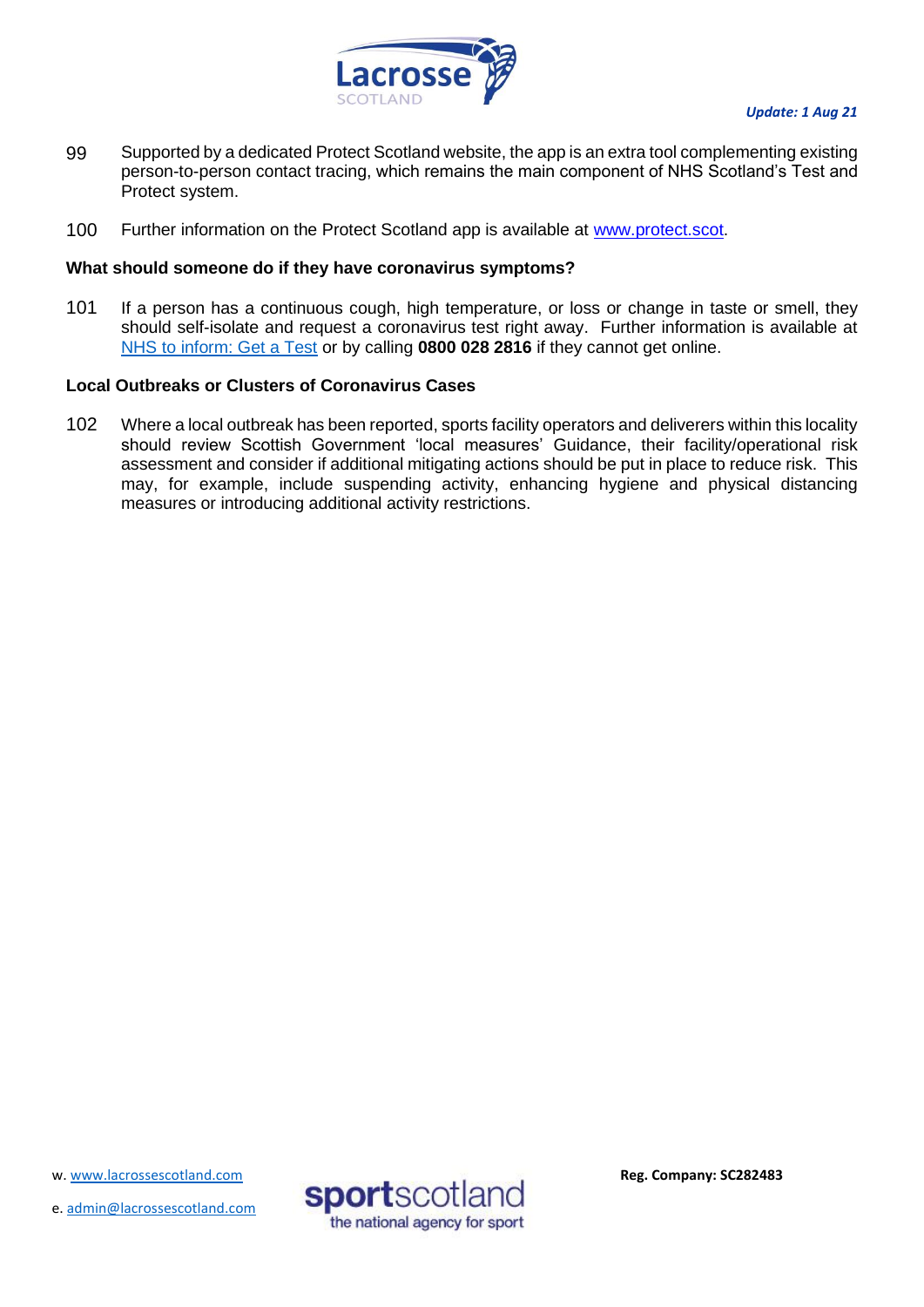

- 99 Supported by a dedicated Protect Scotland website, the app is an extra tool complementing existing person-to-person contact tracing, which remains the main component of NHS Scotland's Test and Protect system.
- 100 Further information on the Protect Scotland app is available at [www.protect.scot.](http://www.protect.scot/)

# **What should someone do if they have coronavirus symptoms?**

101 If a person has a continuous cough, high temperature, or loss or change in taste or smell, they should self-isolate and request a coronavirus test right away. Further information is available at [NHS to inform: Get a Test](https://www.nhsinform.scot/illnesses-and-conditions/infections-and-poisoning/coronavirus-covid-19/test-and-protect/coronavirus-covid-19-get-a-test-if-you-have-symptoms) or by calling **0800 028 2816** if they cannot get online.

# <span id="page-18-0"></span>**Local Outbreaks or Clusters of Coronavirus Cases**

<span id="page-18-1"></span>102 Where a local outbreak has been reported, sports facility operators and deliverers within this locality should review Scottish Government 'local measures' Guidance, their facility/operational risk assessment and consider if additional mitigating actions should be put in place to reduce risk. This may, for example, include suspending activity, enhancing hygiene and physical distancing measures or introducing additional activity restrictions.

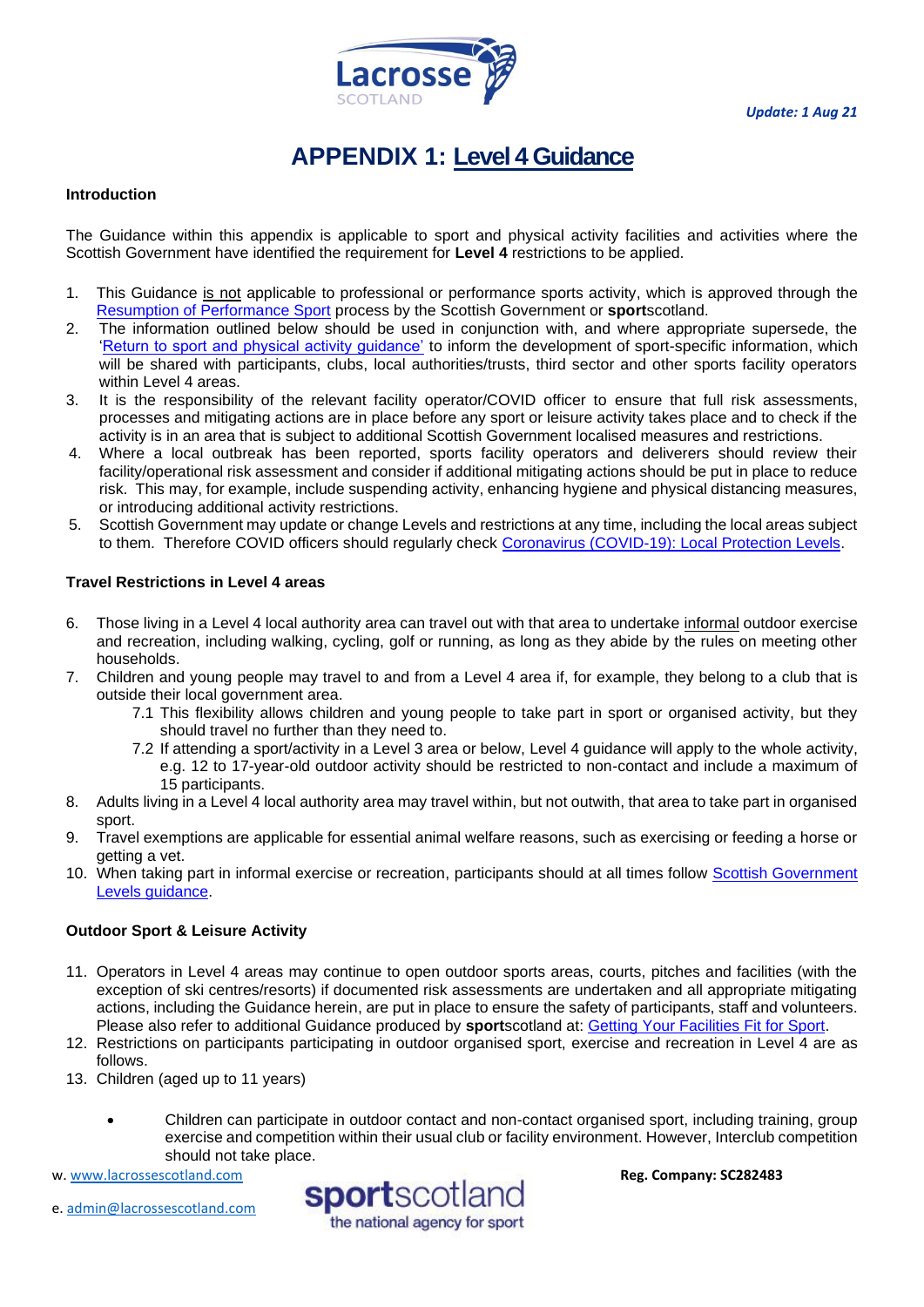

# **APPENDIX 1: Level 4 Guidance**

#### **Introduction**

The Guidance within this appendix is applicable to sport and physical activity facilities and activities where the Scottish Government have identified the requirement for **Level 4** restrictions to be applied.

- 1. This Guidance is not applicable to professional or performance sports activity, which is approved through the [Resumption of Performance Sport](https://sportscotland.org.uk/covid-19/resumption-of-performance-sport-guidance/) process by the Scottish Government or **sport**scotland.
- 2. The information outlined below should be used in conjunction with, and where appropriate supersede, the 'Return to sport and physical activity guidance' to inform the development of sport-specific information, which will be shared with participants, clubs, local authorities/trusts, third sector and other sports facility operators within Level 4 areas.
- 3. It is the responsibility of the relevant facility operator/COVID officer to ensure that full risk assessments, processes and mitigating actions are in place before any sport or leisure activity takes place and to check if the activity is in an area that is subject to additional Scottish Government localised measures and restrictions.
- 4. Where a local outbreak has been reported, sports facility operators and deliverers should review their facility/operational risk assessment and consider if additional mitigating actions should be put in place to reduce risk. This may, for example, include suspending activity, enhancing hygiene and physical distancing measures, or introducing additional activity restrictions.
- 5. Scottish Government may update or change Levels and restrictions at any time, including the local areas subject to them. Therefore COVID officers should regularly check [Coronavirus \(COVID-19\): Local Protection Levels.](http://www.gov.scot/publications/coronavirus-covid-19-local-measures/)

#### **Travel Restrictions in Level 4 areas**

- 6. Those living in a Level 4 local authority area can travel out with that area to undertake informal outdoor exercise and recreation, including walking, cycling, golf or running, as long as they abide by the rules on meeting other households.
- 7. Children and young people may travel to and from a Level 4 area if, for example, they belong to a club that is outside their local government area.
	- 7.1 This flexibility allows children and young people to take part in sport or organised activity, but they should travel no further than they need to.
	- 7.2 If attending a sport/activity in a Level 3 area or below, Level 4 guidance will apply to the whole activity, e.g. 12 to 17-year-old outdoor activity should be restricted to non-contact and include a maximum of 15 participants.
- 8. Adults living in a Level 4 local authority area may travel within, but not outwith, that area to take part in organised sport.
- 9. Travel exemptions are applicable for essential animal welfare reasons, such as exercising or feeding a horse or getting a vet.
- 10. When taking part in informal exercise or recreation, participants should at all times follow [Scottish Government](https://www.gov.scot/publications/coronavirus-covid-19-stay-at-home-guidance/)  [Levels guidance.](https://www.gov.scot/publications/coronavirus-covid-19-stay-at-home-guidance/)

#### **Outdoor Sport & Leisure Activity**

- 11. Operators in Level 4 areas may continue to open outdoor sports areas, courts, pitches and facilities (with the exception of ski centres/resorts) if documented risk assessments are undertaken and all appropriate mitigating actions, including the Guidance herein, are put in place to ensure the safety of participants, staff and volunteers. Please also refer to additional Guidance produced by **sport**scotland at: [Getting Your Facilities Fit for Sport.](http://www.sportscotland.org.uk/covid-19/getting-your-facilities-fit-for-sport/)
- 12. Restrictions on participants participating in outdoor organised sport, exercise and recreation in Level 4 are as follows.
- 13. Children (aged up to 11 years)
	- Children can participate in outdoor contact and non-contact organised sport, including training, group exercise and competition within their usual club or facility environment. However, Interclub competition should not take place.

w[. www.lacrossescotland.com](http://www.lacrossescotland.com/) 



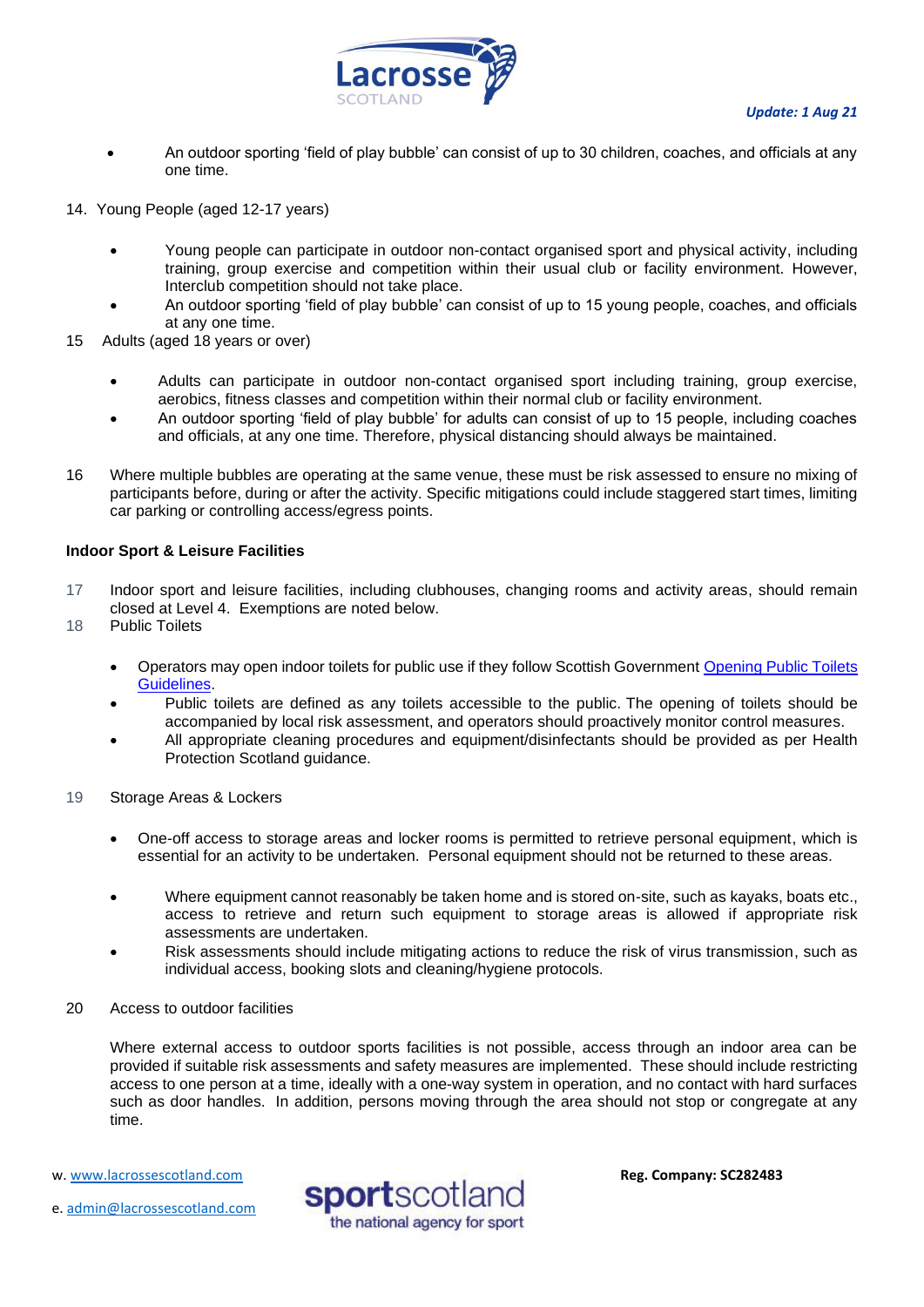

- An outdoor sporting 'field of play bubble' can consist of up to 30 children, coaches, and officials at any one time.
- 14. Young People (aged 12-17 years)
	- Young people can participate in outdoor non-contact organised sport and physical activity, including training, group exercise and competition within their usual club or facility environment. However, Interclub competition should not take place.
	- An outdoor sporting 'field of play bubble' can consist of up to 15 young people, coaches, and officials at any one time.
- 15 Adults (aged 18 years or over)
	- Adults can participate in outdoor non-contact organised sport including training, group exercise, aerobics, fitness classes and competition within their normal club or facility environment.
	- An outdoor sporting 'field of play bubble' for adults can consist of up to 15 people, including coaches and officials, at any one time. Therefore, physical distancing should always be maintained.
- 16 Where multiple bubbles are operating at the same venue, these must be risk assessed to ensure no mixing of participants before, during or after the activity. Specific mitigations could include staggered start times, limiting car parking or controlling access/egress points.

#### **Indoor Sport & Leisure Facilities**

- 17 Indoor sport and leisure facilities, including clubhouses, changing rooms and activity areas, should remain closed at Level 4. Exemptions are noted below.
- 18 Public Toilets
	- Operators may open indoor toilets for public use if they follow Scottish Government Opening Public Toilets [Guidelines.](https://protect-eu.mimecast.com/s/aBXuCNx63fxoygsmfSPz?domain=gov.scot/)
	- Public toilets are defined as any toilets accessible to the public. The opening of toilets should be accompanied by local risk assessment, and operators should proactively monitor control measures.
	- All appropriate cleaning procedures and equipment/disinfectants should be provided as per Health Protection Scotland guidance.
- 19 Storage Areas & Lockers
	- One-off access to storage areas and locker rooms is permitted to retrieve personal equipment, which is essential for an activity to be undertaken. Personal equipment should not be returned to these areas.
	- Where equipment cannot reasonably be taken home and is stored on-site, such as kayaks, boats etc., access to retrieve and return such equipment to storage areas is allowed if appropriate risk assessments are undertaken.
	- Risk assessments should include mitigating actions to reduce the risk of virus transmission, such as individual access, booking slots and cleaning/hygiene protocols.
- 20 Access to outdoor facilities

Where external access to outdoor sports facilities is not possible, access through an indoor area can be provided if suitable risk assessments and safety measures are implemented. These should include restricting access to one person at a time, ideally with a one-way system in operation, and no contact with hard surfaces such as door handles. In addition, persons moving through the area should not stop or congregate at any time.

w[. www.lacrossescotland.com](http://www.lacrossescotland.com/) 

e. [admin@lacrossescotland.com](mailto:admin@lacrossescotland.com)